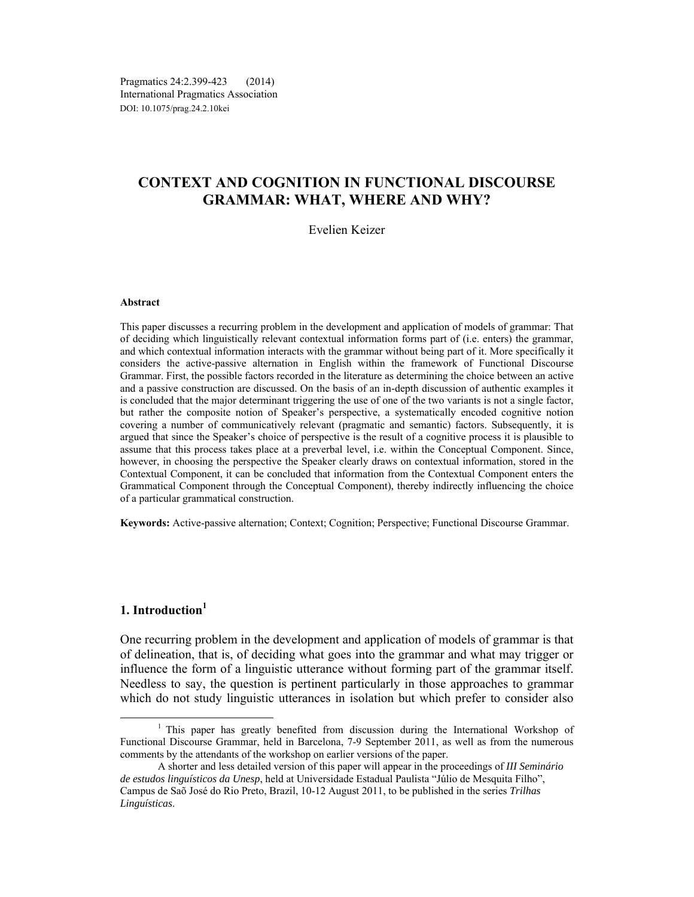Pragmatics 24:2.399-423 (2014) International Pragmatics Association DOI: 10.1075/prag.24.2.10kei

# **CONTEXT AND COGNITION IN FUNCTIONAL DISCOURSE GRAMMAR: WHAT, WHERE AND WHY?**

### Evelien Keizer

#### **Abstract**

This paper discusses a recurring problem in the development and application of models of grammar: That of deciding which linguistically relevant contextual information forms part of (i.e. enters) the grammar, and which contextual information interacts with the grammar without being part of it. More specifically it considers the active-passive alternation in English within the framework of Functional Discourse Grammar. First, the possible factors recorded in the literature as determining the choice between an active and a passive construction are discussed. On the basis of an in-depth discussion of authentic examples it is concluded that the major determinant triggering the use of one of the two variants is not a single factor, but rather the composite notion of Speaker's perspective, a systematically encoded cognitive notion covering a number of communicatively relevant (pragmatic and semantic) factors. Subsequently, it is argued that since the Speaker's choice of perspective is the result of a cognitive process it is plausible to assume that this process takes place at a preverbal level, i.e. within the Conceptual Component. Since, however, in choosing the perspective the Speaker clearly draws on contextual information, stored in the Contextual Component, it can be concluded that information from the Contextual Component enters the Grammatical Component through the Conceptual Component), thereby indirectly influencing the choice of a particular grammatical construction.

**Keywords:** Active-passive alternation; Context; Cognition; Perspective; Functional Discourse Grammar.

# **1. Introduction<sup>1</sup>**

One recurring problem in the development and application of models of grammar is that of delineation, that is, of deciding what goes into the grammar and what may trigger or influence the form of a linguistic utterance without forming part of the grammar itself. Needless to say, the question is pertinent particularly in those approaches to grammar which do not study linguistic utterances in isolation but which prefer to consider also

<sup>&</sup>lt;sup>1</sup> This paper has greatly benefited from discussion during the International Workshop of Functional Discourse Grammar, held in Barcelona, 7-9 September 2011, as well as from the numerous comments by the attendants of the workshop on earlier versions of the paper.

A shorter and less detailed version of this paper will appear in the proceedings of *III Seminário de estudos linguísticos da Unesp*, held at Universidade Estadual Paulista "Júlio de Mesquita Filho", Campus de Saõ José do Rio Preto, Brazil, 10-12 August 2011, to be published in the series *Trilhas Linguísticas*.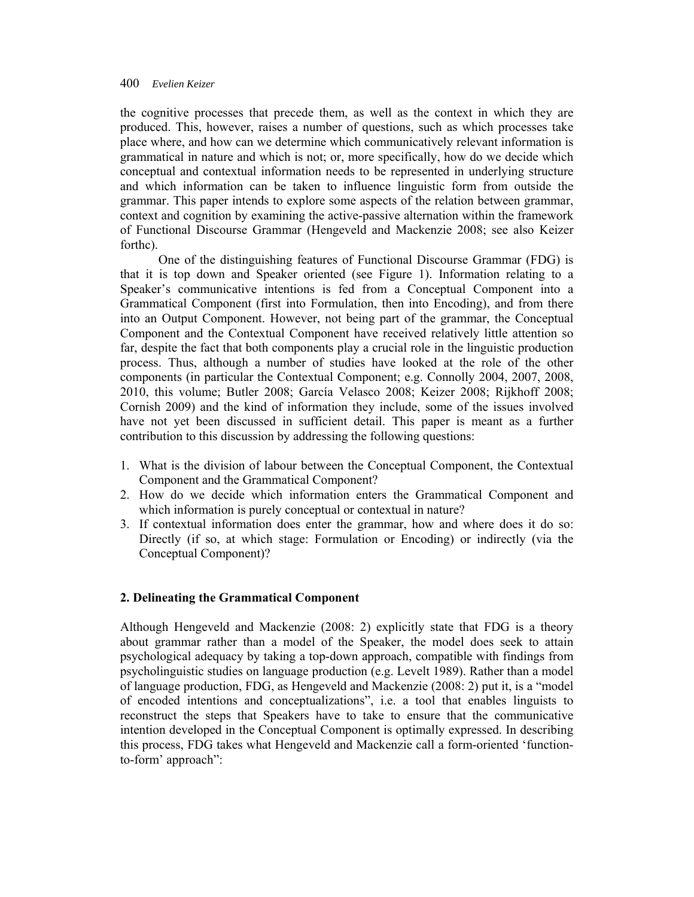the cognitive processes that precede them, as well as the context in which they are produced. This, however, raises a number of questions, such as which processes take place where, and how can we determine which communicatively relevant information is grammatical in nature and which is not; or, more specifically, how do we decide which conceptual and contextual information needs to be represented in underlying structure and which information can be taken to influence linguistic form from outside the grammar. This paper intends to explore some aspects of the relation between grammar, context and cognition by examining the active-passive alternation within the framework of Functional Discourse Grammar (Hengeveld and Mackenzie 2008; see also Keizer forthc).

One of the distinguishing features of Functional Discourse Grammar (FDG) is that it is top down and Speaker oriented (see Figure 1). Information relating to a Speaker's communicative intentions is fed from a Conceptual Component into a Grammatical Component (first into Formulation, then into Encoding), and from there into an Output Component. However, not being part of the grammar, the Conceptual Component and the Contextual Component have received relatively little attention so far, despite the fact that both components play a crucial role in the linguistic production process. Thus, although a number of studies have looked at the role of the other components (in particular the Contextual Component; e.g. Connolly 2004, 2007, 2008, 2010, this volume; Butler 2008; García Velasco 2008; Keizer 2008; Rijkhoff 2008; Cornish 2009) and the kind of information they include, some of the issues involved have not yet been discussed in sufficient detail. This paper is meant as a further contribution to this discussion by addressing the following questions:

- 1. What is the division of labour between the Conceptual Component, the Contextual Component and the Grammatical Component?
- 2. How do we decide which information enters the Grammatical Component and which information is purely conceptual or contextual in nature?
- 3. If contextual information does enter the grammar, how and where does it do so: Directly (if so, at which stage: Formulation or Encoding) or indirectly (via the Conceptual Component)?

# **2. Delineating the Grammatical Component**

Although Hengeveld and Mackenzie (2008: 2) explicitly state that FDG is a theory about grammar rather than a model of the Speaker, the model does seek to attain psychological adequacy by taking a top-down approach, compatible with findings from psycholinguistic studies on language production (e.g. Levelt 1989). Rather than a model of language production, FDG, as Hengeveld and Mackenzie (2008: 2) put it, is a "model of encoded intentions and conceptualizations", i.e. a tool that enables linguists to reconstruct the steps that Speakers have to take to ensure that the communicative intention developed in the Conceptual Component is optimally expressed. In describing this process, FDG takes what Hengeveld and Mackenzie call a form-oriented 'functionto-form' approach":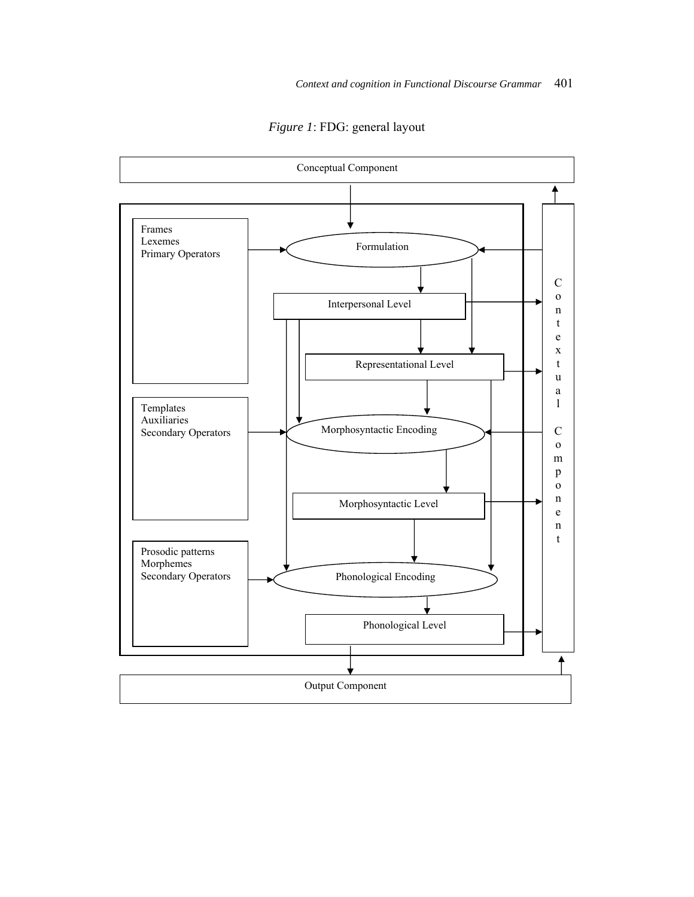

*Figure 1*: FDG: general layout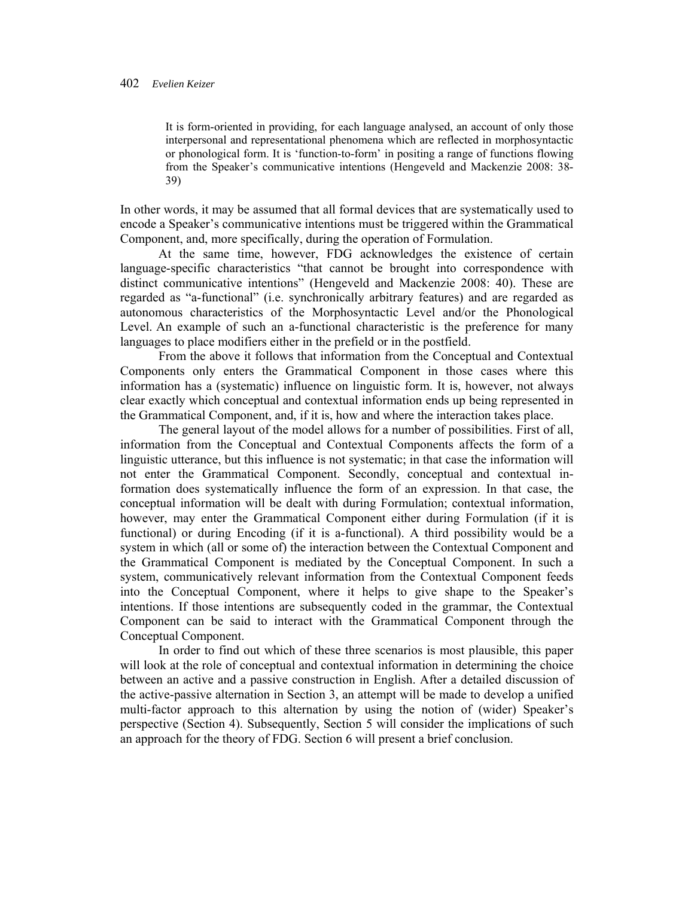It is form-oriented in providing, for each language analysed, an account of only those interpersonal and representational phenomena which are reflected in morphosyntactic or phonological form. It is 'function-to-form' in positing a range of functions flowing from the Speaker's communicative intentions (Hengeveld and Mackenzie 2008: 38- 39)

In other words, it may be assumed that all formal devices that are systematically used to encode a Speaker's communicative intentions must be triggered within the Grammatical Component, and, more specifically, during the operation of Formulation.

At the same time, however, FDG acknowledges the existence of certain language-specific characteristics "that cannot be brought into correspondence with distinct communicative intentions" (Hengeveld and Mackenzie 2008: 40). These are regarded as "a-functional" (i.e. synchronically arbitrary features) and are regarded as autonomous characteristics of the Morphosyntactic Level and/or the Phonological Level. An example of such an a-functional characteristic is the preference for many languages to place modifiers either in the prefield or in the postfield.

From the above it follows that information from the Conceptual and Contextual Components only enters the Grammatical Component in those cases where this information has a (systematic) influence on linguistic form. It is, however, not always clear exactly which conceptual and contextual information ends up being represented in the Grammatical Component, and, if it is, how and where the interaction takes place.

The general layout of the model allows for a number of possibilities. First of all, information from the Conceptual and Contextual Components affects the form of a linguistic utterance, but this influence is not systematic; in that case the information will not enter the Grammatical Component. Secondly, conceptual and contextual information does systematically influence the form of an expression. In that case, the conceptual information will be dealt with during Formulation; contextual information, however, may enter the Grammatical Component either during Formulation (if it is functional) or during Encoding (if it is a-functional). A third possibility would be a system in which (all or some of) the interaction between the Contextual Component and the Grammatical Component is mediated by the Conceptual Component. In such a system, communicatively relevant information from the Contextual Component feeds into the Conceptual Component, where it helps to give shape to the Speaker's intentions. If those intentions are subsequently coded in the grammar, the Contextual Component can be said to interact with the Grammatical Component through the Conceptual Component.

In order to find out which of these three scenarios is most plausible, this paper will look at the role of conceptual and contextual information in determining the choice between an active and a passive construction in English. After a detailed discussion of the active-passive alternation in Section 3, an attempt will be made to develop a unified multi-factor approach to this alternation by using the notion of (wider) Speaker's perspective (Section 4). Subsequently, Section 5 will consider the implications of such an approach for the theory of FDG. Section 6 will present a brief conclusion.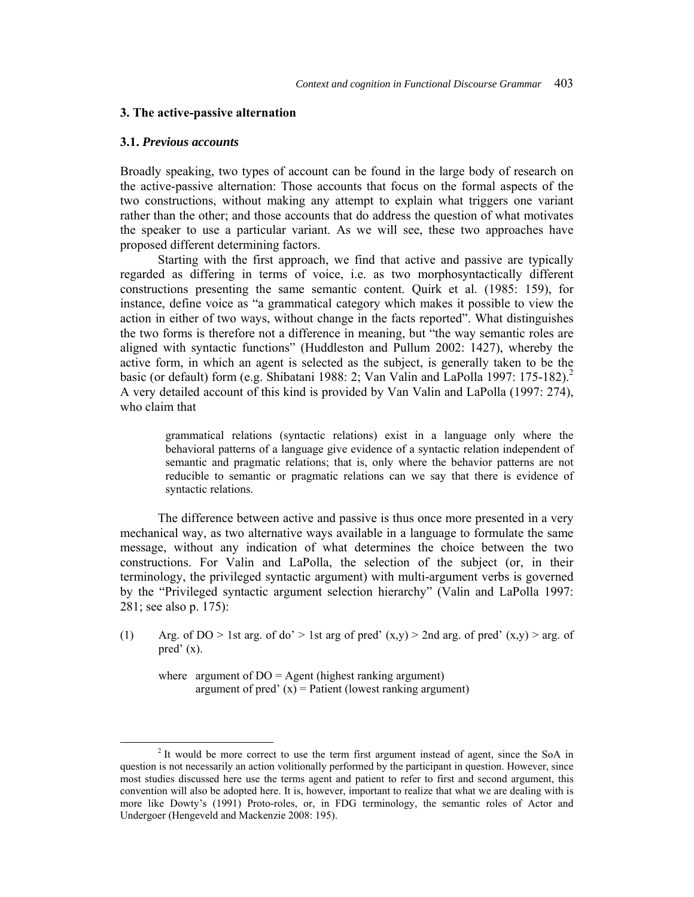#### **3. The active-passive alternation**

#### **3.1.** *Previous accounts*

Broadly speaking, two types of account can be found in the large body of research on the active-passive alternation: Those accounts that focus on the formal aspects of the two constructions, without making any attempt to explain what triggers one variant rather than the other; and those accounts that do address the question of what motivates the speaker to use a particular variant. As we will see, these two approaches have proposed different determining factors.

Starting with the first approach, we find that active and passive are typically regarded as differing in terms of voice, i.e. as two morphosyntactically different constructions presenting the same semantic content. Quirk et al. (1985: 159), for instance, define voice as "a grammatical category which makes it possible to view the action in either of two ways, without change in the facts reported". What distinguishes the two forms is therefore not a difference in meaning, but "the way semantic roles are aligned with syntactic functions" (Huddleston and Pullum 2002: 1427), whereby the active form, in which an agent is selected as the subject, is generally taken to be the basic (or default) form (e.g. Shibatani 1988: 2; Van Valin and LaPolla 1997: 175-182).<sup>2</sup> A very detailed account of this kind is provided by Van Valin and LaPolla (1997: 274), who claim that

grammatical relations (syntactic relations) exist in a language only where the behavioral patterns of a language give evidence of a syntactic relation independent of semantic and pragmatic relations; that is, only where the behavior patterns are not reducible to semantic or pragmatic relations can we say that there is evidence of syntactic relations.

The difference between active and passive is thus once more presented in a very mechanical way, as two alternative ways available in a language to formulate the same message, without any indication of what determines the choice between the two constructions. For Valin and LaPolla, the selection of the subject (or, in their terminology, the privileged syntactic argument) with multi-argument verbs is governed by the "Privileged syntactic argument selection hierarchy" (Valin and LaPolla 1997: 281; see also p. 175):

(1) Arg. of DO > 1st arg. of do' > 1st arg of pred'  $(x,y)$  > 2nd arg. of pred'  $(x,y)$  > arg. of pred' (x).

where argument of  $DO = Agent$  (highest ranking argument) argument of pred'  $(x)$  = Patient (lowest ranking argument)

 $\overline{\phantom{a}}$ <sup>2</sup> It would be more correct to use the term first argument instead of agent, since the SoA in question is not necessarily an action volitionally performed by the participant in question. However, since most studies discussed here use the terms agent and patient to refer to first and second argument, this convention will also be adopted here. It is, however, important to realize that what we are dealing with is more like Dowty's (1991) Proto-roles, or, in FDG terminology, the semantic roles of Actor and Undergoer (Hengeveld and Mackenzie 2008: 195).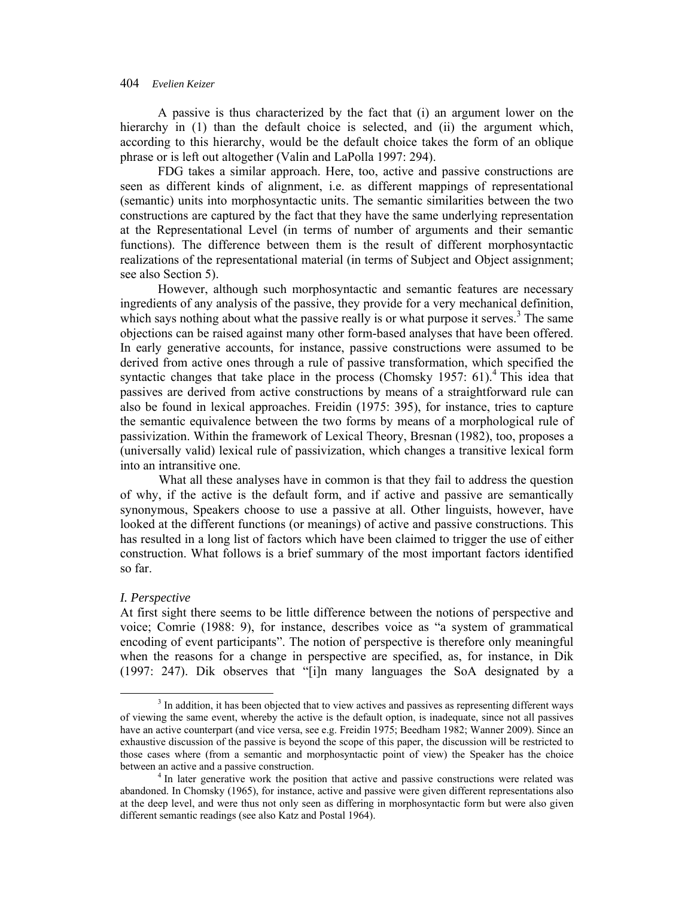A passive is thus characterized by the fact that (i) an argument lower on the hierarchy in (1) than the default choice is selected, and (ii) the argument which, according to this hierarchy, would be the default choice takes the form of an oblique phrase or is left out altogether (Valin and LaPolla 1997: 294).

FDG takes a similar approach. Here, too, active and passive constructions are seen as different kinds of alignment, i.e. as different mappings of representational (semantic) units into morphosyntactic units. The semantic similarities between the two constructions are captured by the fact that they have the same underlying representation at the Representational Level (in terms of number of arguments and their semantic functions). The difference between them is the result of different morphosyntactic realizations of the representational material (in terms of Subject and Object assignment; see also Section 5).

However, although such morphosyntactic and semantic features are necessary ingredients of any analysis of the passive, they provide for a very mechanical definition, which says nothing about what the passive really is or what purpose it serves.<sup>3</sup> The same objections can be raised against many other form-based analyses that have been offered. In early generative accounts, for instance, passive constructions were assumed to be derived from active ones through a rule of passive transformation, which specified the syntactic changes that take place in the process (Chomsky 1957:  $61$ ).<sup>4</sup> This idea that passives are derived from active constructions by means of a straightforward rule can also be found in lexical approaches. Freidin (1975: 395), for instance, tries to capture the semantic equivalence between the two forms by means of a morphological rule of passivization. Within the framework of Lexical Theory, Bresnan (1982), too, proposes a (universally valid) lexical rule of passivization, which changes a transitive lexical form into an intransitive one.

What all these analyses have in common is that they fail to address the question of why, if the active is the default form, and if active and passive are semantically synonymous, Speakers choose to use a passive at all. Other linguists, however, have looked at the different functions (or meanings) of active and passive constructions. This has resulted in a long list of factors which have been claimed to trigger the use of either construction. What follows is a brief summary of the most important factors identified so far.

### *I. Perspective*

At first sight there seems to be little difference between the notions of perspective and voice; Comrie (1988: 9), for instance, describes voice as "a system of grammatical encoding of event participants". The notion of perspective is therefore only meaningful when the reasons for a change in perspective are specified, as, for instance, in Dik (1997: 247). Dik observes that "[i]n many languages the SoA designated by a

 $\frac{1}{3}$ <sup>3</sup> In addition, it has been objected that to view actives and passives as representing different ways of viewing the same event, whereby the active is the default option, is inadequate, since not all passives have an active counterpart (and vice versa, see e.g. Freidin 1975; Beedham 1982; Wanner 2009). Since an exhaustive discussion of the passive is beyond the scope of this paper, the discussion will be restricted to those cases where (from a semantic and morphosyntactic point of view) the Speaker has the choice between an active and a passive construction. 4

 $4$  In later generative work the position that active and passive constructions were related was abandoned. In Chomsky (1965), for instance, active and passive were given different representations also at the deep level, and were thus not only seen as differing in morphosyntactic form but were also given different semantic readings (see also Katz and Postal 1964).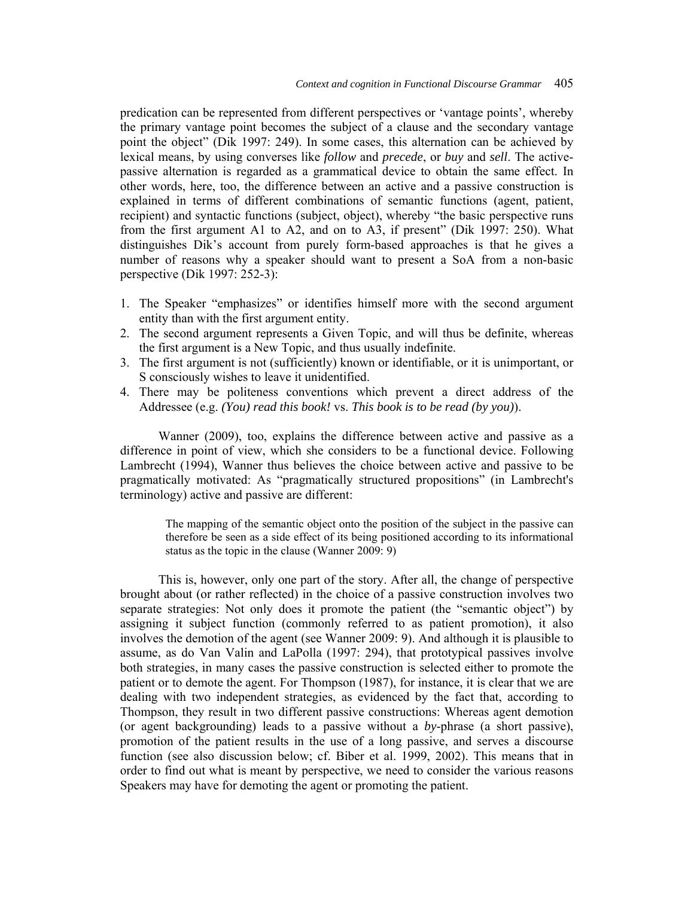predication can be represented from different perspectives or 'vantage points', whereby the primary vantage point becomes the subject of a clause and the secondary vantage point the object" (Dik 1997: 249). In some cases, this alternation can be achieved by lexical means, by using converses like *follow* and *precede*, or *buy* and *sell*. The activepassive alternation is regarded as a grammatical device to obtain the same effect. In other words, here, too, the difference between an active and a passive construction is explained in terms of different combinations of semantic functions (agent, patient, recipient) and syntactic functions (subject, object), whereby "the basic perspective runs from the first argument A1 to A2, and on to A3, if present" (Dik 1997: 250). What distinguishes Dik's account from purely form-based approaches is that he gives a number of reasons why a speaker should want to present a SoA from a non-basic perspective (Dik 1997: 252-3):

- 1. The Speaker "emphasizes" or identifies himself more with the second argument entity than with the first argument entity.
- 2. The second argument represents a Given Topic, and will thus be definite, whereas the first argument is a New Topic, and thus usually indefinite.
- 3. The first argument is not (sufficiently) known or identifiable, or it is unimportant, or S consciously wishes to leave it unidentified.
- 4. There may be politeness conventions which prevent a direct address of the Addressee (e.g. *(You) read this book!* vs. *This book is to be read (by you)*).

Wanner (2009), too, explains the difference between active and passive as a difference in point of view, which she considers to be a functional device. Following Lambrecht (1994), Wanner thus believes the choice between active and passive to be pragmatically motivated: As "pragmatically structured propositions" (in Lambrecht's terminology) active and passive are different:

The mapping of the semantic object onto the position of the subject in the passive can therefore be seen as a side effect of its being positioned according to its informational status as the topic in the clause (Wanner 2009: 9)

This is, however, only one part of the story. After all, the change of perspective brought about (or rather reflected) in the choice of a passive construction involves two separate strategies: Not only does it promote the patient (the "semantic object") by assigning it subject function (commonly referred to as patient promotion), it also involves the demotion of the agent (see Wanner 2009: 9). And although it is plausible to assume, as do Van Valin and LaPolla (1997: 294), that prototypical passives involve both strategies, in many cases the passive construction is selected either to promote the patient or to demote the agent. For Thompson (1987), for instance, it is clear that we are dealing with two independent strategies, as evidenced by the fact that, according to Thompson, they result in two different passive constructions: Whereas agent demotion (or agent backgrounding) leads to a passive without a *by*-phrase (a short passive), promotion of the patient results in the use of a long passive, and serves a discourse function (see also discussion below; cf. Biber et al. 1999, 2002). This means that in order to find out what is meant by perspective, we need to consider the various reasons Speakers may have for demoting the agent or promoting the patient.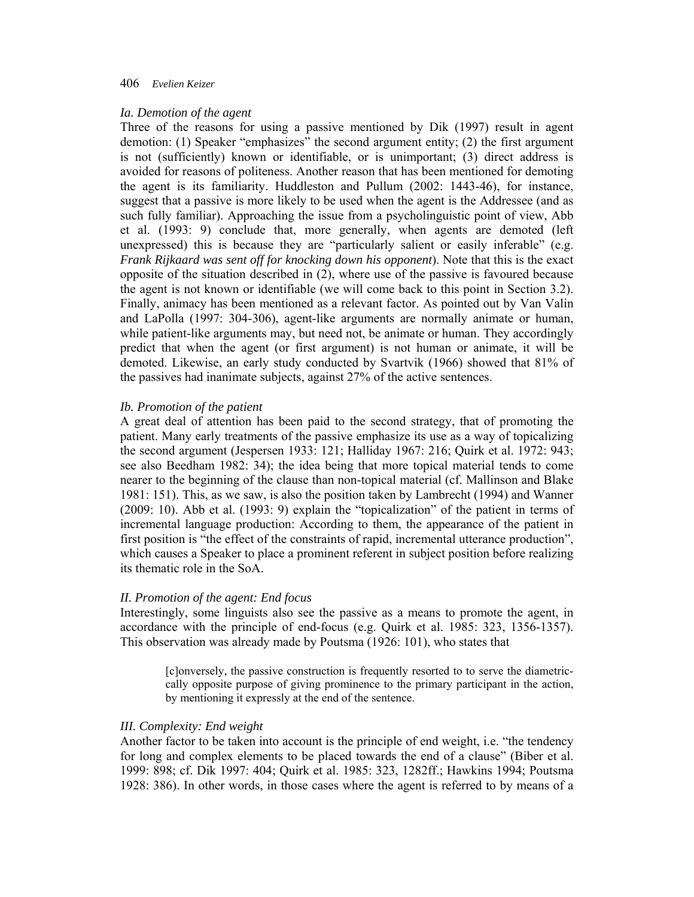#### *Ia. Demotion of the agent*

Three of the reasons for using a passive mentioned by Dik (1997) result in agent demotion: (1) Speaker "emphasizes" the second argument entity; (2) the first argument is not (sufficiently) known or identifiable, or is unimportant; (3) direct address is avoided for reasons of politeness. Another reason that has been mentioned for demoting the agent is its familiarity. Huddleston and Pullum (2002: 1443-46), for instance, suggest that a passive is more likely to be used when the agent is the Addressee (and as such fully familiar). Approaching the issue from a psycholinguistic point of view, Abb et al. (1993: 9) conclude that, more generally, when agents are demoted (left unexpressed) this is because they are "particularly salient or easily inferable" (e.g. *Frank Rijkaard was sent off for knocking down his opponent*). Note that this is the exact opposite of the situation described in (2), where use of the passive is favoured because the agent is not known or identifiable (we will come back to this point in Section 3.2). Finally, animacy has been mentioned as a relevant factor. As pointed out by Van Valin and LaPolla (1997: 304-306), agent-like arguments are normally animate or human, while patient-like arguments may, but need not, be animate or human. They accordingly predict that when the agent (or first argument) is not human or animate, it will be demoted. Likewise, an early study conducted by Svartvik (1966) showed that 81% of the passives had inanimate subjects, against 27% of the active sentences.

### *Ib. Promotion of the patient*

A great deal of attention has been paid to the second strategy, that of promoting the patient. Many early treatments of the passive emphasize its use as a way of topicalizing the second argument (Jespersen 1933: 121; Halliday 1967: 216; Quirk et al. 1972: 943; see also Beedham 1982: 34); the idea being that more topical material tends to come nearer to the beginning of the clause than non-topical material (cf. Mallinson and Blake 1981: 151). This, as we saw, is also the position taken by Lambrecht (1994) and Wanner (2009: 10). Abb et al. (1993: 9) explain the "topicalization" of the patient in terms of incremental language production: According to them, the appearance of the patient in first position is "the effect of the constraints of rapid, incremental utterance production", which causes a Speaker to place a prominent referent in subject position before realizing its thematic role in the SoA.

### *II. Promotion of the agent: End focus*

Interestingly, some linguists also see the passive as a means to promote the agent, in accordance with the principle of end-focus (e.g. Quirk et al. 1985: 323, 1356-1357). This observation was already made by Poutsma (1926: 101), who states that

[c]onversely, the passive construction is frequently resorted to to serve the diametriccally opposite purpose of giving prominence to the primary participant in the action, by mentioning it expressly at the end of the sentence.

#### *III. Complexity: End weight*

Another factor to be taken into account is the principle of end weight, i.e. "the tendency for long and complex elements to be placed towards the end of a clause" (Biber et al. 1999: 898; cf. Dik 1997: 404; Quirk et al. 1985: 323, 1282ff.; Hawkins 1994; Poutsma 1928: 386). In other words, in those cases where the agent is referred to by means of a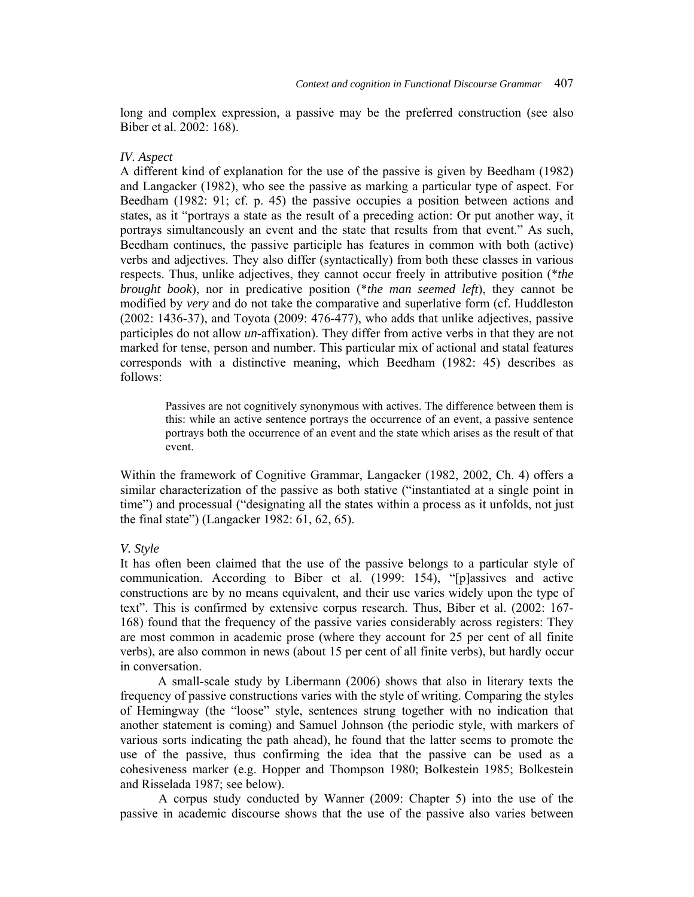long and complex expression, a passive may be the preferred construction (see also Biber et al. 2002: 168).

# *IV. Aspect*

A different kind of explanation for the use of the passive is given by Beedham (1982) and Langacker (1982), who see the passive as marking a particular type of aspect. For Beedham (1982: 91; cf. p. 45) the passive occupies a position between actions and states, as it "portrays a state as the result of a preceding action: Or put another way, it portrays simultaneously an event and the state that results from that event." As such, Beedham continues, the passive participle has features in common with both (active) verbs and adjectives. They also differ (syntactically) from both these classes in various respects. Thus, unlike adjectives, they cannot occur freely in attributive position (\**the brought book*), nor in predicative position (\**the man seemed left*), they cannot be modified by *very* and do not take the comparative and superlative form (cf. Huddleston (2002: 1436-37), and Toyota (2009: 476-477), who adds that unlike adjectives, passive participles do not allow *un*-affixation). They differ from active verbs in that they are not marked for tense, person and number. This particular mix of actional and statal features corresponds with a distinctive meaning, which Beedham (1982: 45) describes as follows:

Passives are not cognitively synonymous with actives. The difference between them is this: while an active sentence portrays the occurrence of an event, a passive sentence portrays both the occurrence of an event and the state which arises as the result of that event.

Within the framework of Cognitive Grammar, Langacker (1982, 2002, Ch. 4) offers a similar characterization of the passive as both stative ("instantiated at a single point in time") and processual ("designating all the states within a process as it unfolds, not just the final state") (Langacker 1982: 61, 62, 65).

### *V. Style*

It has often been claimed that the use of the passive belongs to a particular style of communication. According to Biber et al. (1999: 154), "[p]assives and active constructions are by no means equivalent, and their use varies widely upon the type of text". This is confirmed by extensive corpus research. Thus, Biber et al. (2002: 167- 168) found that the frequency of the passive varies considerably across registers: They are most common in academic prose (where they account for 25 per cent of all finite verbs), are also common in news (about 15 per cent of all finite verbs), but hardly occur in conversation.

 A small-scale study by Libermann (2006) shows that also in literary texts the frequency of passive constructions varies with the style of writing. Comparing the styles of Hemingway (the "loose" style, sentences strung together with no indication that another statement is coming) and Samuel Johnson (the periodic style, with markers of various sorts indicating the path ahead), he found that the latter seems to promote the use of the passive, thus confirming the idea that the passive can be used as a cohesiveness marker (e.g. Hopper and Thompson 1980; Bolkestein 1985; Bolkestein and Risselada 1987; see below).

A corpus study conducted by Wanner (2009: Chapter 5) into the use of the passive in academic discourse shows that the use of the passive also varies between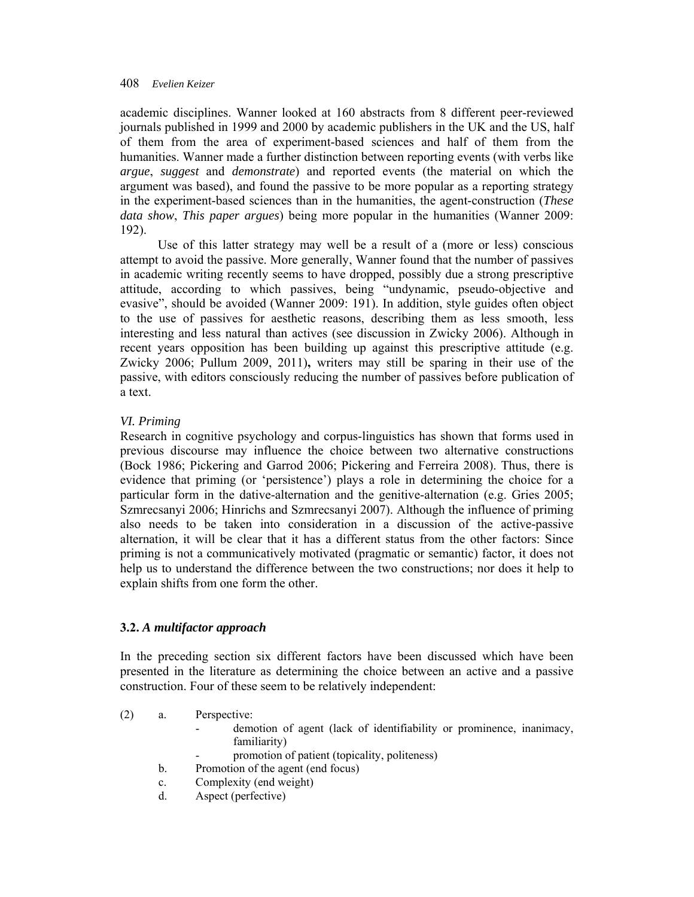academic disciplines. Wanner looked at 160 abstracts from 8 different peer-reviewed journals published in 1999 and 2000 by academic publishers in the UK and the US, half of them from the area of experiment-based sciences and half of them from the humanities. Wanner made a further distinction between reporting events (with verbs like *argue*, *suggest* and *demonstrate*) and reported events (the material on which the argument was based), and found the passive to be more popular as a reporting strategy in the experiment-based sciences than in the humanities, the agent-construction (*These data show*, *This paper argues*) being more popular in the humanities (Wanner 2009: 192).

 Use of this latter strategy may well be a result of a (more or less) conscious attempt to avoid the passive. More generally, Wanner found that the number of passives in academic writing recently seems to have dropped, possibly due a strong prescriptive attitude, according to which passives, being "undynamic, pseudo-objective and evasive", should be avoided (Wanner 2009: 191). In addition, style guides often object to the use of passives for aesthetic reasons, describing them as less smooth, less interesting and less natural than actives (see discussion in Zwicky 2006). Although in recent years opposition has been building up against this prescriptive attitude (e.g. Zwicky 2006; Pullum 2009, 2011)**,** writers may still be sparing in their use of the passive, with editors consciously reducing the number of passives before publication of a text.

# *VI. Priming*

Research in cognitive psychology and corpus-linguistics has shown that forms used in previous discourse may influence the choice between two alternative constructions (Bock 1986; Pickering and Garrod 2006; Pickering and Ferreira 2008). Thus, there is evidence that priming (or 'persistence') plays a role in determining the choice for a particular form in the dative-alternation and the genitive-alternation (e.g. Gries 2005; Szmrecsanyi 2006; Hinrichs and Szmrecsanyi 2007). Although the influence of priming also needs to be taken into consideration in a discussion of the active-passive alternation, it will be clear that it has a different status from the other factors: Since priming is not a communicatively motivated (pragmatic or semantic) factor, it does not help us to understand the difference between the two constructions; nor does it help to explain shifts from one form the other.

# **3.2.** *A multifactor approach*

In the preceding section six different factors have been discussed which have been presented in the literature as determining the choice between an active and a passive construction. Four of these seem to be relatively independent:

- (2) a. Perspective:
	- demotion of agent (lack of identifiability or prominence, inanimacy, familiarity)
	- promotion of patient (topicality, politeness)
	- b. Promotion of the agent (end focus)
	- c. Complexity (end weight)
	- d. Aspect (perfective)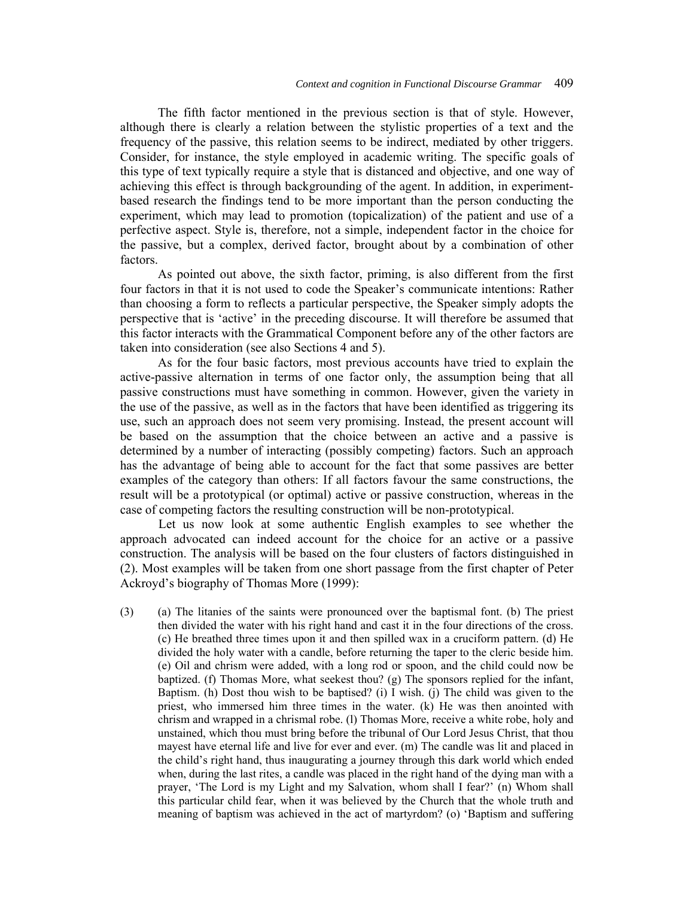The fifth factor mentioned in the previous section is that of style. However, although there is clearly a relation between the stylistic properties of a text and the frequency of the passive, this relation seems to be indirect, mediated by other triggers. Consider, for instance, the style employed in academic writing. The specific goals of this type of text typically require a style that is distanced and objective, and one way of achieving this effect is through backgrounding of the agent. In addition, in experimentbased research the findings tend to be more important than the person conducting the experiment, which may lead to promotion (topicalization) of the patient and use of a perfective aspect. Style is, therefore, not a simple, independent factor in the choice for the passive, but a complex, derived factor, brought about by a combination of other factors.

 As pointed out above, the sixth factor, priming, is also different from the first four factors in that it is not used to code the Speaker's communicate intentions: Rather than choosing a form to reflects a particular perspective, the Speaker simply adopts the perspective that is 'active' in the preceding discourse. It will therefore be assumed that this factor interacts with the Grammatical Component before any of the other factors are taken into consideration (see also Sections 4 and 5).

 As for the four basic factors, most previous accounts have tried to explain the active-passive alternation in terms of one factor only, the assumption being that all passive constructions must have something in common. However, given the variety in the use of the passive, as well as in the factors that have been identified as triggering its use, such an approach does not seem very promising. Instead, the present account will be based on the assumption that the choice between an active and a passive is determined by a number of interacting (possibly competing) factors. Such an approach has the advantage of being able to account for the fact that some passives are better examples of the category than others: If all factors favour the same constructions, the result will be a prototypical (or optimal) active or passive construction, whereas in the case of competing factors the resulting construction will be non-prototypical.

Let us now look at some authentic English examples to see whether the approach advocated can indeed account for the choice for an active or a passive construction. The analysis will be based on the four clusters of factors distinguished in (2). Most examples will be taken from one short passage from the first chapter of Peter Ackroyd's biography of Thomas More (1999):

(3) (a) The litanies of the saints were pronounced over the baptismal font. (b) The priest then divided the water with his right hand and cast it in the four directions of the cross. (c) He breathed three times upon it and then spilled wax in a cruciform pattern. (d) He divided the holy water with a candle, before returning the taper to the cleric beside him. (e) Oil and chrism were added, with a long rod or spoon, and the child could now be baptized. (f) Thomas More, what seekest thou? (g) The sponsors replied for the infant, Baptism. (h) Dost thou wish to be baptised? (i) I wish. (j) The child was given to the priest, who immersed him three times in the water. (k) He was then anointed with chrism and wrapped in a chrismal robe. (l) Thomas More, receive a white robe, holy and unstained, which thou must bring before the tribunal of Our Lord Jesus Christ, that thou mayest have eternal life and live for ever and ever. (m) The candle was lit and placed in the child's right hand, thus inaugurating a journey through this dark world which ended when, during the last rites, a candle was placed in the right hand of the dying man with a prayer, 'The Lord is my Light and my Salvation, whom shall I fear?' (n) Whom shall this particular child fear, when it was believed by the Church that the whole truth and meaning of baptism was achieved in the act of martyrdom? (o) 'Baptism and suffering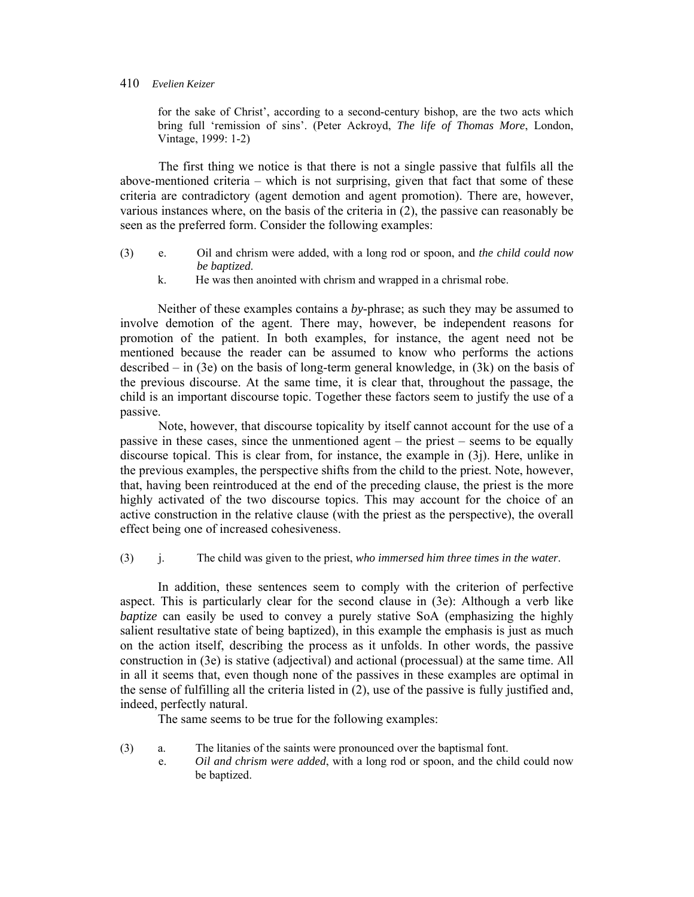for the sake of Christ', according to a second-century bishop, are the two acts which bring full 'remission of sins'. (Peter Ackroyd, *The life of Thomas More*, London, Vintage, 1999: 1-2)

The first thing we notice is that there is not a single passive that fulfils all the above-mentioned criteria – which is not surprising, given that fact that some of these criteria are contradictory (agent demotion and agent promotion). There are, however, various instances where, on the basis of the criteria in (2), the passive can reasonably be seen as the preferred form. Consider the following examples:

- (3) e. Oil and chrism were added, with a long rod or spoon, and *the child could now be baptized*.
	- k. He was then anointed with chrism and wrapped in a chrismal robe.

Neither of these examples contains a *by*-phrase; as such they may be assumed to involve demotion of the agent. There may, however, be independent reasons for promotion of the patient. In both examples, for instance, the agent need not be mentioned because the reader can be assumed to know who performs the actions described – in (3e) on the basis of long-term general knowledge, in (3k) on the basis of the previous discourse. At the same time, it is clear that, throughout the passage, the child is an important discourse topic. Together these factors seem to justify the use of a passive.

Note, however, that discourse topicality by itself cannot account for the use of a passive in these cases, since the unmentioned agent – the priest – seems to be equally discourse topical. This is clear from, for instance, the example in (3j). Here, unlike in the previous examples, the perspective shifts from the child to the priest. Note, however, that, having been reintroduced at the end of the preceding clause, the priest is the more highly activated of the two discourse topics. This may account for the choice of an active construction in the relative clause (with the priest as the perspective), the overall effect being one of increased cohesiveness.

(3) j. The child was given to the priest, *who immersed him three times in the water*.

 In addition, these sentences seem to comply with the criterion of perfective aspect. This is particularly clear for the second clause in (3e): Although a verb like *baptize* can easily be used to convey a purely stative SoA (emphasizing the highly salient resultative state of being baptized), in this example the emphasis is just as much on the action itself, describing the process as it unfolds. In other words, the passive construction in (3e) is stative (adjectival) and actional (processual) at the same time. All in all it seems that, even though none of the passives in these examples are optimal in the sense of fulfilling all the criteria listed in (2), use of the passive is fully justified and, indeed, perfectly natural.

The same seems to be true for the following examples:

- (3) a. The litanies of the saints were pronounced over the baptismal font.
	- e. *Oil and chrism were added*, with a long rod or spoon, and the child could now be baptized.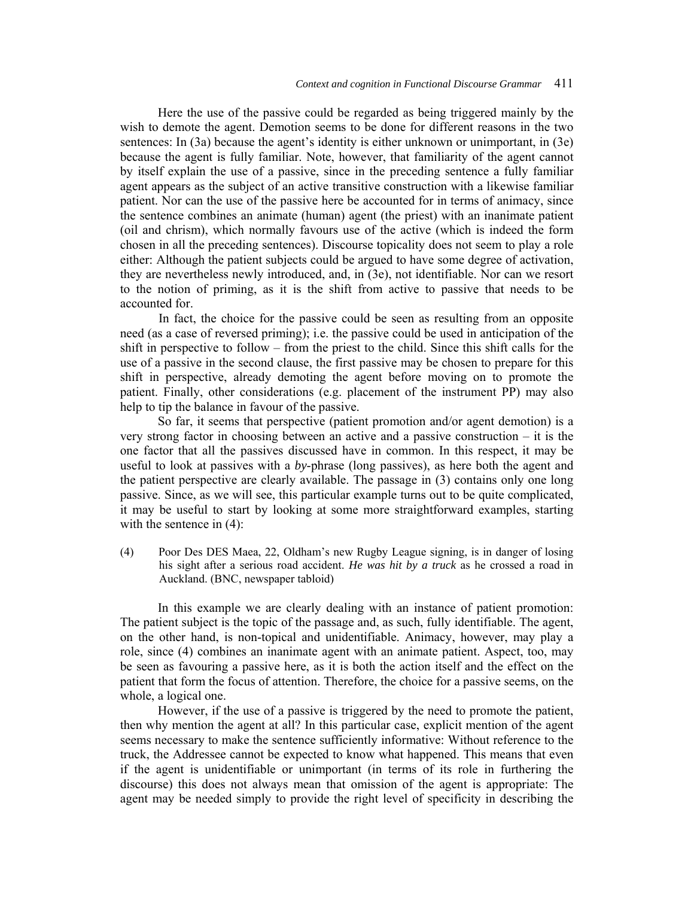Here the use of the passive could be regarded as being triggered mainly by the wish to demote the agent. Demotion seems to be done for different reasons in the two sentences: In (3a) because the agent's identity is either unknown or unimportant, in (3e) because the agent is fully familiar. Note, however, that familiarity of the agent cannot by itself explain the use of a passive, since in the preceding sentence a fully familiar agent appears as the subject of an active transitive construction with a likewise familiar patient. Nor can the use of the passive here be accounted for in terms of animacy, since the sentence combines an animate (human) agent (the priest) with an inanimate patient (oil and chrism), which normally favours use of the active (which is indeed the form chosen in all the preceding sentences). Discourse topicality does not seem to play a role either: Although the patient subjects could be argued to have some degree of activation, they are nevertheless newly introduced, and, in (3e), not identifiable. Nor can we resort to the notion of priming, as it is the shift from active to passive that needs to be accounted for.

In fact, the choice for the passive could be seen as resulting from an opposite need (as a case of reversed priming); i.e. the passive could be used in anticipation of the shift in perspective to follow – from the priest to the child. Since this shift calls for the use of a passive in the second clause, the first passive may be chosen to prepare for this shift in perspective, already demoting the agent before moving on to promote the patient. Finally, other considerations (e.g. placement of the instrument PP) may also help to tip the balance in favour of the passive.

 So far, it seems that perspective (patient promotion and/or agent demotion) is a very strong factor in choosing between an active and a passive construction – it is the one factor that all the passives discussed have in common. In this respect, it may be useful to look at passives with a *by*-phrase (long passives), as here both the agent and the patient perspective are clearly available. The passage in (3) contains only one long passive. Since, as we will see, this particular example turns out to be quite complicated, it may be useful to start by looking at some more straightforward examples, starting with the sentence in  $(4)$ :

(4) Poor Des DES Maea, 22, Oldham's new Rugby League signing, is in danger of losing his sight after a serious road accident. *He was hit by a truck* as he crossed a road in Auckland. (BNC, newspaper tabloid)

In this example we are clearly dealing with an instance of patient promotion: The patient subject is the topic of the passage and, as such, fully identifiable. The agent, on the other hand, is non-topical and unidentifiable. Animacy, however, may play a role, since (4) combines an inanimate agent with an animate patient. Aspect, too, may be seen as favouring a passive here, as it is both the action itself and the effect on the patient that form the focus of attention. Therefore, the choice for a passive seems, on the whole, a logical one.

However, if the use of a passive is triggered by the need to promote the patient, then why mention the agent at all? In this particular case, explicit mention of the agent seems necessary to make the sentence sufficiently informative: Without reference to the truck, the Addressee cannot be expected to know what happened. This means that even if the agent is unidentifiable or unimportant (in terms of its role in furthering the discourse) this does not always mean that omission of the agent is appropriate: The agent may be needed simply to provide the right level of specificity in describing the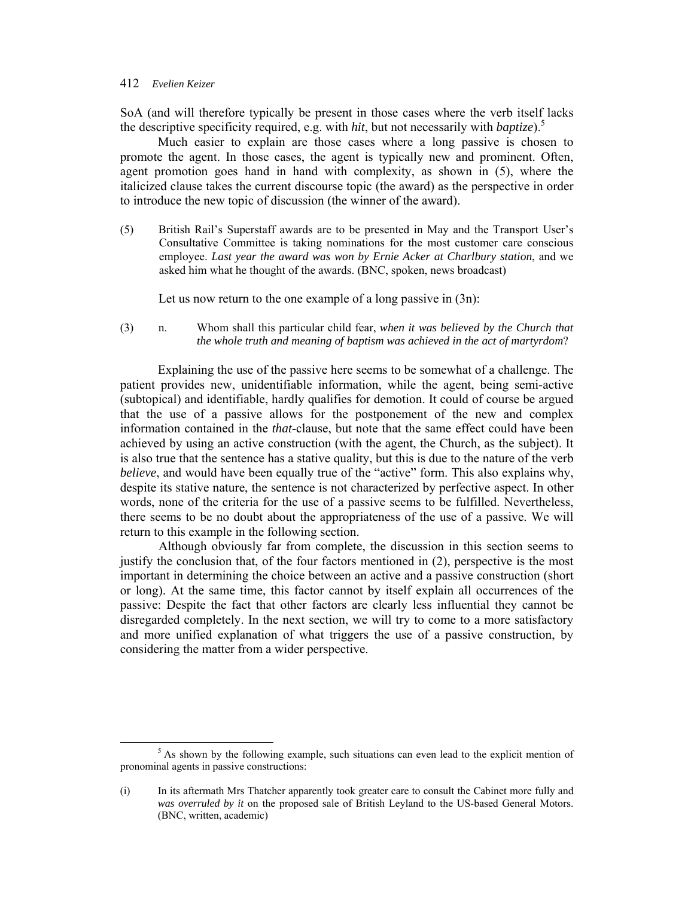SoA (and will therefore typically be present in those cases where the verb itself lacks the descriptive specificity required, e.g. with *hit*, but not necessarily with *baptize*).5

 Much easier to explain are those cases where a long passive is chosen to promote the agent. In those cases, the agent is typically new and prominent. Often, agent promotion goes hand in hand with complexity, as shown in (5), where the italicized clause takes the current discourse topic (the award) as the perspective in order to introduce the new topic of discussion (the winner of the award).

(5) British Rail's Superstaff awards are to be presented in May and the Transport User's Consultative Committee is taking nominations for the most customer care conscious employee. *Last year the award was won by Ernie Acker at Charlbury station*, and we asked him what he thought of the awards. (BNC, spoken, news broadcast)

Let us now return to the one example of a long passive in  $(3n)$ :

(3) n. Whom shall this particular child fear, *when it was believed by the Church that the whole truth and meaning of baptism was achieved in the act of martyrdom*?

Explaining the use of the passive here seems to be somewhat of a challenge. The patient provides new, unidentifiable information, while the agent, being semi-active (subtopical) and identifiable, hardly qualifies for demotion. It could of course be argued that the use of a passive allows for the postponement of the new and complex information contained in the *that*-clause, but note that the same effect could have been achieved by using an active construction (with the agent, the Church, as the subject). It is also true that the sentence has a stative quality, but this is due to the nature of the verb *believe*, and would have been equally true of the "active" form. This also explains why, despite its stative nature, the sentence is not characterized by perfective aspect. In other words, none of the criteria for the use of a passive seems to be fulfilled. Nevertheless, there seems to be no doubt about the appropriateness of the use of a passive. We will return to this example in the following section.

Although obviously far from complete, the discussion in this section seems to justify the conclusion that, of the four factors mentioned in (2), perspective is the most important in determining the choice between an active and a passive construction (short or long). At the same time, this factor cannot by itself explain all occurrences of the passive: Despite the fact that other factors are clearly less influential they cannot be disregarded completely. In the next section, we will try to come to a more satisfactory and more unified explanation of what triggers the use of a passive construction, by considering the matter from a wider perspective.

 $\frac{1}{5}$  $<sup>5</sup>$  As shown by the following example, such situations can even lead to the explicit mention of</sup> pronominal agents in passive constructions:

<sup>(</sup>i) In its aftermath Mrs Thatcher apparently took greater care to consult the Cabinet more fully and *was overruled by it* on the proposed sale of British Leyland to the US-based General Motors. (BNC, written, academic)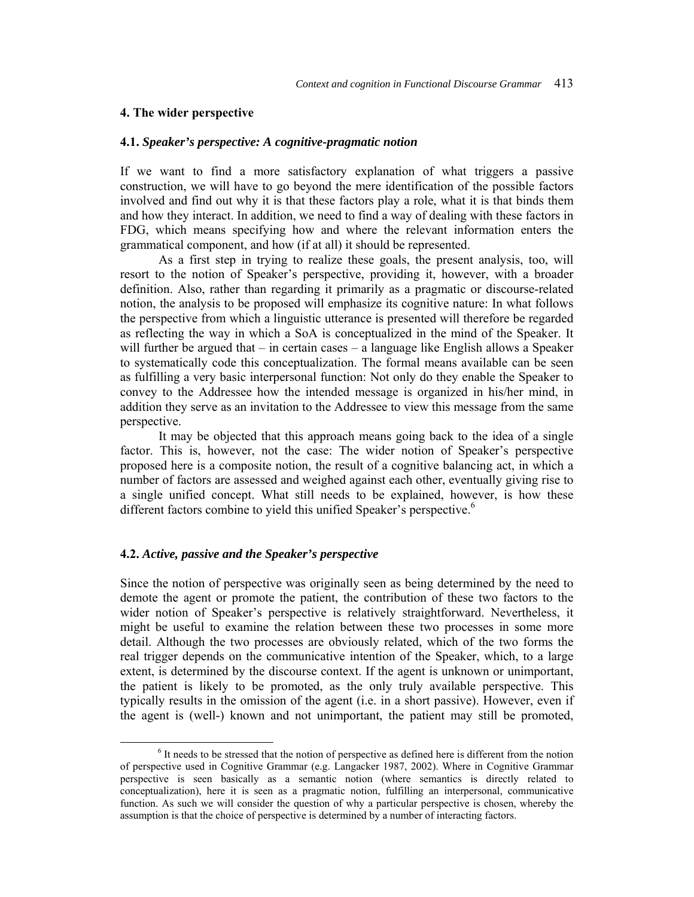#### **4. The wider perspective**

#### **4.1.** *Speaker's perspective: A cognitive-pragmatic notion*

If we want to find a more satisfactory explanation of what triggers a passive construction, we will have to go beyond the mere identification of the possible factors involved and find out why it is that these factors play a role, what it is that binds them and how they interact. In addition, we need to find a way of dealing with these factors in FDG, which means specifying how and where the relevant information enters the grammatical component, and how (if at all) it should be represented.

As a first step in trying to realize these goals, the present analysis, too, will resort to the notion of Speaker's perspective, providing it, however, with a broader definition. Also, rather than regarding it primarily as a pragmatic or discourse-related notion, the analysis to be proposed will emphasize its cognitive nature: In what follows the perspective from which a linguistic utterance is presented will therefore be regarded as reflecting the way in which a SoA is conceptualized in the mind of the Speaker. It will further be argued that – in certain cases – a language like English allows a Speaker to systematically code this conceptualization. The formal means available can be seen as fulfilling a very basic interpersonal function: Not only do they enable the Speaker to convey to the Addressee how the intended message is organized in his/her mind, in addition they serve as an invitation to the Addressee to view this message from the same perspective.

It may be objected that this approach means going back to the idea of a single factor. This is, however, not the case: The wider notion of Speaker's perspective proposed here is a composite notion, the result of a cognitive balancing act, in which a number of factors are assessed and weighed against each other, eventually giving rise to a single unified concept. What still needs to be explained, however, is how these different factors combine to yield this unified Speaker's perspective.<sup>6</sup>

# **4.2.** *Active, passive and the Speaker's perspective*

Since the notion of perspective was originally seen as being determined by the need to demote the agent or promote the patient, the contribution of these two factors to the wider notion of Speaker's perspective is relatively straightforward. Nevertheless, it might be useful to examine the relation between these two processes in some more detail. Although the two processes are obviously related, which of the two forms the real trigger depends on the communicative intention of the Speaker, which, to a large extent, is determined by the discourse context. If the agent is unknown or unimportant, the patient is likely to be promoted, as the only truly available perspective. This typically results in the omission of the agent (i.e. in a short passive). However, even if the agent is (well-) known and not unimportant, the patient may still be promoted,

 <sup>6</sup>  $<sup>6</sup>$  It needs to be stressed that the notion of perspective as defined here is different from the notion</sup> of perspective used in Cognitive Grammar (e.g. Langacker 1987, 2002). Where in Cognitive Grammar perspective is seen basically as a semantic notion (where semantics is directly related to conceptualization), here it is seen as a pragmatic notion, fulfilling an interpersonal, communicative function. As such we will consider the question of why a particular perspective is chosen, whereby the assumption is that the choice of perspective is determined by a number of interacting factors.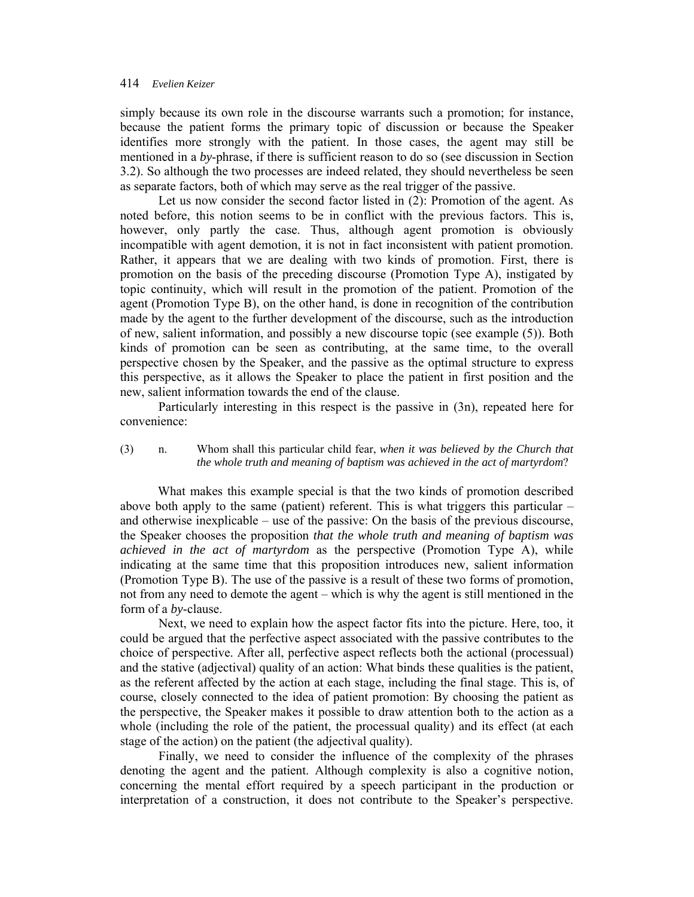simply because its own role in the discourse warrants such a promotion; for instance, because the patient forms the primary topic of discussion or because the Speaker identifies more strongly with the patient. In those cases, the agent may still be mentioned in a *by*-phrase, if there is sufficient reason to do so (see discussion in Section 3.2). So although the two processes are indeed related, they should nevertheless be seen as separate factors, both of which may serve as the real trigger of the passive.

Let us now consider the second factor listed in (2): Promotion of the agent. As noted before, this notion seems to be in conflict with the previous factors. This is, however, only partly the case. Thus, although agent promotion is obviously incompatible with agent demotion, it is not in fact inconsistent with patient promotion. Rather, it appears that we are dealing with two kinds of promotion. First, there is promotion on the basis of the preceding discourse (Promotion Type A), instigated by topic continuity, which will result in the promotion of the patient. Promotion of the agent (Promotion Type B), on the other hand, is done in recognition of the contribution made by the agent to the further development of the discourse, such as the introduction of new, salient information, and possibly a new discourse topic (see example (5)). Both kinds of promotion can be seen as contributing, at the same time, to the overall perspective chosen by the Speaker, and the passive as the optimal structure to express this perspective, as it allows the Speaker to place the patient in first position and the new, salient information towards the end of the clause.

Particularly interesting in this respect is the passive in (3n), repeated here for convenience:

# (3) n. Whom shall this particular child fear, *when it was believed by the Church that the whole truth and meaning of baptism was achieved in the act of martyrdom*?

What makes this example special is that the two kinds of promotion described above both apply to the same (patient) referent. This is what triggers this particular – and otherwise inexplicable – use of the passive: On the basis of the previous discourse, the Speaker chooses the proposition *that the whole truth and meaning of baptism was achieved in the act of martyrdom* as the perspective (Promotion Type A), while indicating at the same time that this proposition introduces new, salient information (Promotion Type B). The use of the passive is a result of these two forms of promotion, not from any need to demote the agent – which is why the agent is still mentioned in the form of a *by*-clause.

Next, we need to explain how the aspect factor fits into the picture. Here, too, it could be argued that the perfective aspect associated with the passive contributes to the choice of perspective. After all, perfective aspect reflects both the actional (processual) and the stative (adjectival) quality of an action: What binds these qualities is the patient, as the referent affected by the action at each stage, including the final stage. This is, of course, closely connected to the idea of patient promotion: By choosing the patient as the perspective, the Speaker makes it possible to draw attention both to the action as a whole (including the role of the patient, the processual quality) and its effect (at each stage of the action) on the patient (the adjectival quality).

Finally, we need to consider the influence of the complexity of the phrases denoting the agent and the patient. Although complexity is also a cognitive notion, concerning the mental effort required by a speech participant in the production or interpretation of a construction, it does not contribute to the Speaker's perspective.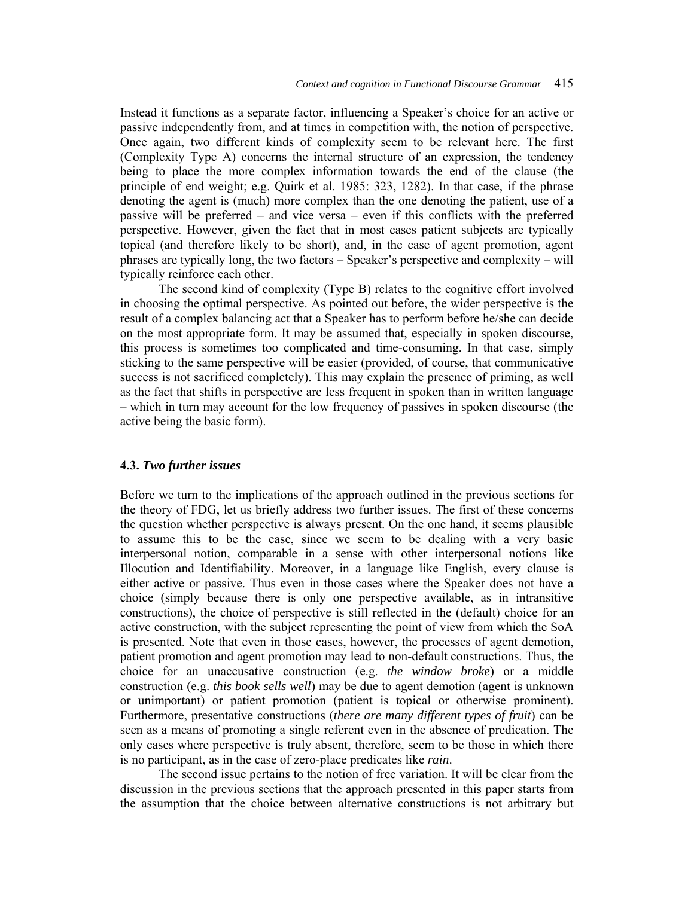Instead it functions as a separate factor, influencing a Speaker's choice for an active or passive independently from, and at times in competition with, the notion of perspective. Once again, two different kinds of complexity seem to be relevant here. The first (Complexity Type A) concerns the internal structure of an expression, the tendency being to place the more complex information towards the end of the clause (the principle of end weight; e.g. Quirk et al. 1985: 323, 1282). In that case, if the phrase denoting the agent is (much) more complex than the one denoting the patient, use of a passive will be preferred – and vice versa – even if this conflicts with the preferred perspective. However, given the fact that in most cases patient subjects are typically topical (and therefore likely to be short), and, in the case of agent promotion, agent phrases are typically long, the two factors – Speaker's perspective and complexity – will typically reinforce each other.

The second kind of complexity (Type B) relates to the cognitive effort involved in choosing the optimal perspective. As pointed out before, the wider perspective is the result of a complex balancing act that a Speaker has to perform before he/she can decide on the most appropriate form. It may be assumed that, especially in spoken discourse, this process is sometimes too complicated and time-consuming. In that case, simply sticking to the same perspective will be easier (provided, of course, that communicative success is not sacrificed completely). This may explain the presence of priming, as well as the fact that shifts in perspective are less frequent in spoken than in written language – which in turn may account for the low frequency of passives in spoken discourse (the active being the basic form).

### **4.3.** *Two further issues*

Before we turn to the implications of the approach outlined in the previous sections for the theory of FDG, let us briefly address two further issues. The first of these concerns the question whether perspective is always present. On the one hand, it seems plausible to assume this to be the case, since we seem to be dealing with a very basic interpersonal notion, comparable in a sense with other interpersonal notions like Illocution and Identifiability. Moreover, in a language like English, every clause is either active or passive. Thus even in those cases where the Speaker does not have a choice (simply because there is only one perspective available, as in intransitive constructions), the choice of perspective is still reflected in the (default) choice for an active construction, with the subject representing the point of view from which the SoA is presented. Note that even in those cases, however, the processes of agent demotion, patient promotion and agent promotion may lead to non-default constructions. Thus, the choice for an unaccusative construction (e.g. *the window broke*) or a middle construction (e.g. *this book sells well*) may be due to agent demotion (agent is unknown or unimportant) or patient promotion (patient is topical or otherwise prominent). Furthermore, presentative constructions (*there are many different types of fruit*) can be seen as a means of promoting a single referent even in the absence of predication. The only cases where perspective is truly absent, therefore, seem to be those in which there is no participant, as in the case of zero-place predicates like *rain*.

The second issue pertains to the notion of free variation. It will be clear from the discussion in the previous sections that the approach presented in this paper starts from the assumption that the choice between alternative constructions is not arbitrary but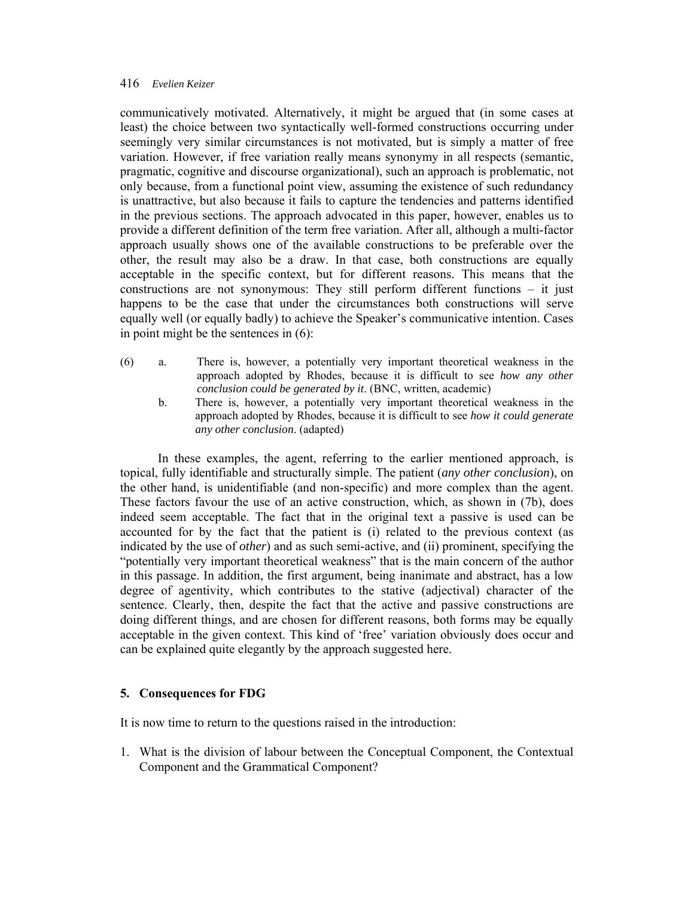communicatively motivated. Alternatively, it might be argued that (in some cases at least) the choice between two syntactically well-formed constructions occurring under seemingly very similar circumstances is not motivated, but is simply a matter of free variation. However, if free variation really means synonymy in all respects (semantic, pragmatic, cognitive and discourse organizational), such an approach is problematic, not only because, from a functional point view, assuming the existence of such redundancy is unattractive, but also because it fails to capture the tendencies and patterns identified in the previous sections. The approach advocated in this paper, however, enables us to provide a different definition of the term free variation. After all, although a multi-factor approach usually shows one of the available constructions to be preferable over the other, the result may also be a draw. In that case, both constructions are equally acceptable in the specific context, but for different reasons. This means that the constructions are not synonymous: They still perform different functions – it just happens to be the case that under the circumstances both constructions will serve equally well (or equally badly) to achieve the Speaker's communicative intention. Cases in point might be the sentences in (6):

- (6) a. There is, however, a potentially very important theoretical weakness in the approach adopted by Rhodes, because it is difficult to see *how any other conclusion could be generated by it*. (BNC, written, academic)
	- b. There is, however, a potentially very important theoretical weakness in the approach adopted by Rhodes, because it is difficult to see *how it could generate any other conclusion*. (adapted)

In these examples, the agent, referring to the earlier mentioned approach, is topical, fully identifiable and structurally simple. The patient (*any other conclusion*), on the other hand, is unidentifiable (and non-specific) and more complex than the agent. These factors favour the use of an active construction, which, as shown in (7b), does indeed seem acceptable. The fact that in the original text a passive is used can be accounted for by the fact that the patient is (i) related to the previous context (as indicated by the use of *other*) and as such semi-active, and (ii) prominent, specifying the "potentially very important theoretical weakness" that is the main concern of the author in this passage. In addition, the first argument, being inanimate and abstract, has a low degree of agentivity, which contributes to the stative (adjectival) character of the sentence. Clearly, then, despite the fact that the active and passive constructions are doing different things, and are chosen for different reasons, both forms may be equally acceptable in the given context. This kind of 'free' variation obviously does occur and can be explained quite elegantly by the approach suggested here.

# **5. Consequences for FDG**

It is now time to return to the questions raised in the introduction:

1. What is the division of labour between the Conceptual Component, the Contextual Component and the Grammatical Component?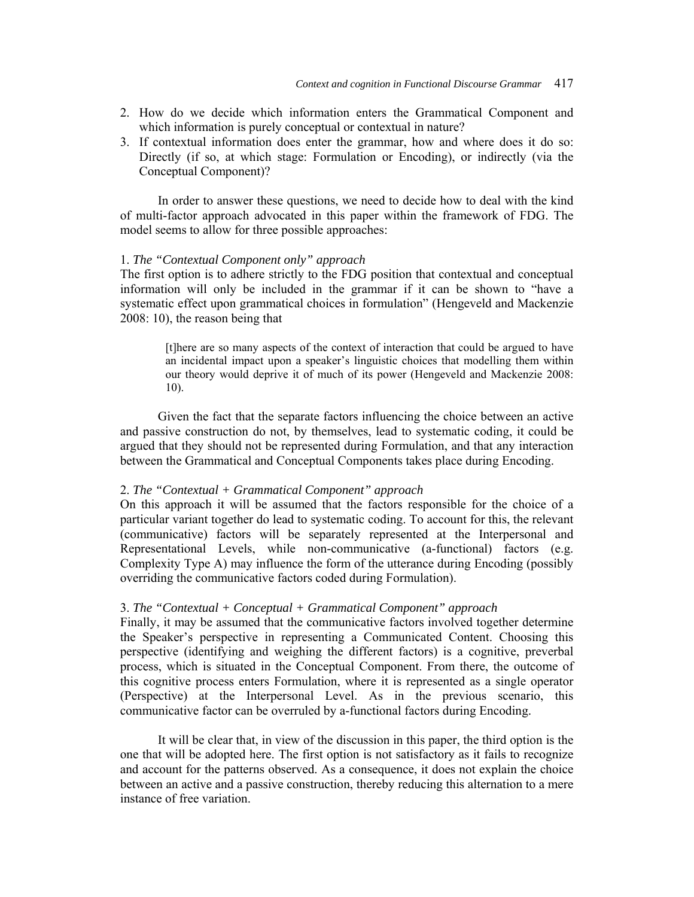- 2. How do we decide which information enters the Grammatical Component and which information is purely conceptual or contextual in nature?
- 3. If contextual information does enter the grammar, how and where does it do so: Directly (if so, at which stage: Formulation or Encoding), or indirectly (via the Conceptual Component)?

In order to answer these questions, we need to decide how to deal with the kind of multi-factor approach advocated in this paper within the framework of FDG. The model seems to allow for three possible approaches:

### 1. *The "Contextual Component only" approach*

The first option is to adhere strictly to the FDG position that contextual and conceptual information will only be included in the grammar if it can be shown to "have a systematic effect upon grammatical choices in formulation" (Hengeveld and Mackenzie 2008: 10), the reason being that

[t]here are so many aspects of the context of interaction that could be argued to have an incidental impact upon a speaker's linguistic choices that modelling them within our theory would deprive it of much of its power (Hengeveld and Mackenzie 2008: 10).

Given the fact that the separate factors influencing the choice between an active and passive construction do not, by themselves, lead to systematic coding, it could be argued that they should not be represented during Formulation, and that any interaction between the Grammatical and Conceptual Components takes place during Encoding.

### 2. *The "Contextual + Grammatical Component" approach*

On this approach it will be assumed that the factors responsible for the choice of a particular variant together do lead to systematic coding. To account for this, the relevant (communicative) factors will be separately represented at the Interpersonal and Representational Levels, while non-communicative (a-functional) factors (e.g. Complexity Type A) may influence the form of the utterance during Encoding (possibly overriding the communicative factors coded during Formulation).

### 3. *The "Contextual + Conceptual + Grammatical Component" approach*

Finally, it may be assumed that the communicative factors involved together determine the Speaker's perspective in representing a Communicated Content. Choosing this perspective (identifying and weighing the different factors) is a cognitive, preverbal process, which is situated in the Conceptual Component. From there, the outcome of this cognitive process enters Formulation, where it is represented as a single operator (Perspective) at the Interpersonal Level. As in the previous scenario, this communicative factor can be overruled by a-functional factors during Encoding.

It will be clear that, in view of the discussion in this paper, the third option is the one that will be adopted here. The first option is not satisfactory as it fails to recognize and account for the patterns observed. As a consequence, it does not explain the choice between an active and a passive construction, thereby reducing this alternation to a mere instance of free variation.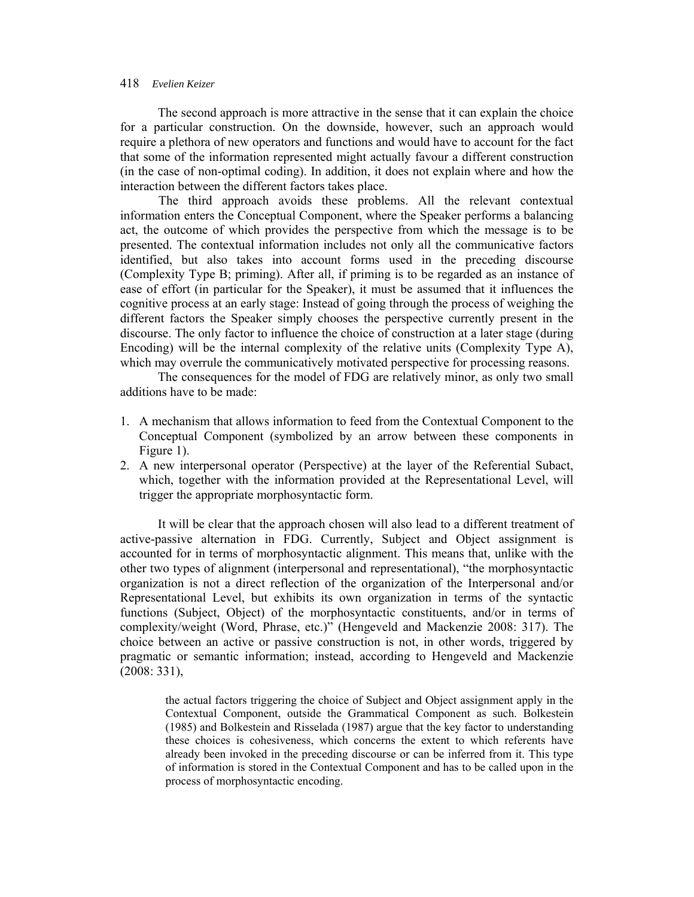The second approach is more attractive in the sense that it can explain the choice for a particular construction. On the downside, however, such an approach would require a plethora of new operators and functions and would have to account for the fact that some of the information represented might actually favour a different construction (in the case of non-optimal coding). In addition, it does not explain where and how the interaction between the different factors takes place.

The third approach avoids these problems. All the relevant contextual information enters the Conceptual Component, where the Speaker performs a balancing act, the outcome of which provides the perspective from which the message is to be presented. The contextual information includes not only all the communicative factors identified, but also takes into account forms used in the preceding discourse (Complexity Type B; priming). After all, if priming is to be regarded as an instance of ease of effort (in particular for the Speaker), it must be assumed that it influences the cognitive process at an early stage: Instead of going through the process of weighing the different factors the Speaker simply chooses the perspective currently present in the discourse. The only factor to influence the choice of construction at a later stage (during Encoding) will be the internal complexity of the relative units (Complexity Type A), which may overrule the communicatively motivated perspective for processing reasons.

 The consequences for the model of FDG are relatively minor, as only two small additions have to be made:

- 1. A mechanism that allows information to feed from the Contextual Component to the Conceptual Component (symbolized by an arrow between these components in Figure 1).
- 2. A new interpersonal operator (Perspective) at the layer of the Referential Subact, which, together with the information provided at the Representational Level, will trigger the appropriate morphosyntactic form.

 It will be clear that the approach chosen will also lead to a different treatment of active-passive alternation in FDG. Currently, Subject and Object assignment is accounted for in terms of morphosyntactic alignment. This means that, unlike with the other two types of alignment (interpersonal and representational), "the morphosyntactic organization is not a direct reflection of the organization of the Interpersonal and/or Representational Level, but exhibits its own organization in terms of the syntactic functions (Subject, Object) of the morphosyntactic constituents, and/or in terms of complexity/weight (Word, Phrase, etc.)" (Hengeveld and Mackenzie 2008: 317). The choice between an active or passive construction is not, in other words, triggered by pragmatic or semantic information; instead, according to Hengeveld and Mackenzie (2008: 331),

the actual factors triggering the choice of Subject and Object assignment apply in the Contextual Component, outside the Grammatical Component as such. Bolkestein (1985) and Bolkestein and Risselada (1987) argue that the key factor to understanding these choices is cohesiveness, which concerns the extent to which referents have already been invoked in the preceding discourse or can be inferred from it. This type of information is stored in the Contextual Component and has to be called upon in the process of morphosyntactic encoding.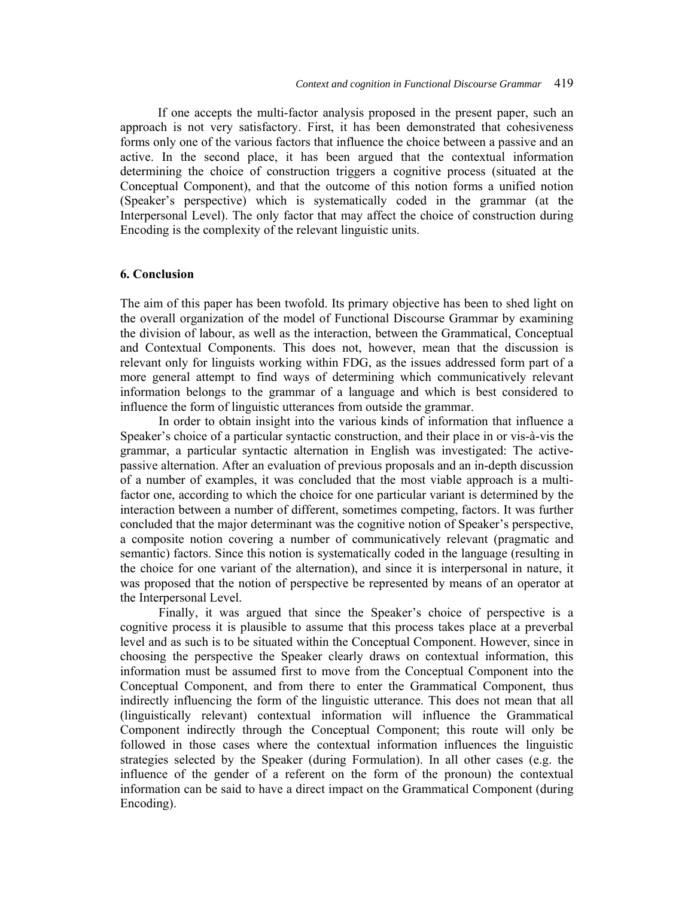If one accepts the multi-factor analysis proposed in the present paper, such an approach is not very satisfactory. First, it has been demonstrated that cohesiveness forms only one of the various factors that influence the choice between a passive and an active. In the second place, it has been argued that the contextual information determining the choice of construction triggers a cognitive process (situated at the Conceptual Component), and that the outcome of this notion forms a unified notion (Speaker's perspective) which is systematically coded in the grammar (at the Interpersonal Level). The only factor that may affect the choice of construction during Encoding is the complexity of the relevant linguistic units.

# **6. Conclusion**

The aim of this paper has been twofold. Its primary objective has been to shed light on the overall organization of the model of Functional Discourse Grammar by examining the division of labour, as well as the interaction, between the Grammatical, Conceptual and Contextual Components. This does not, however, mean that the discussion is relevant only for linguists working within FDG, as the issues addressed form part of a more general attempt to find ways of determining which communicatively relevant information belongs to the grammar of a language and which is best considered to influence the form of linguistic utterances from outside the grammar.

In order to obtain insight into the various kinds of information that influence a Speaker's choice of a particular syntactic construction, and their place in or vis-à-vis the grammar, a particular syntactic alternation in English was investigated: The activepassive alternation. After an evaluation of previous proposals and an in-depth discussion of a number of examples, it was concluded that the most viable approach is a multifactor one, according to which the choice for one particular variant is determined by the interaction between a number of different, sometimes competing, factors. It was further concluded that the major determinant was the cognitive notion of Speaker's perspective, a composite notion covering a number of communicatively relevant (pragmatic and semantic) factors. Since this notion is systematically coded in the language (resulting in the choice for one variant of the alternation), and since it is interpersonal in nature, it was proposed that the notion of perspective be represented by means of an operator at the Interpersonal Level.

Finally, it was argued that since the Speaker's choice of perspective is a cognitive process it is plausible to assume that this process takes place at a preverbal level and as such is to be situated within the Conceptual Component. However, since in choosing the perspective the Speaker clearly draws on contextual information, this information must be assumed first to move from the Conceptual Component into the Conceptual Component, and from there to enter the Grammatical Component, thus indirectly influencing the form of the linguistic utterance. This does not mean that all (linguistically relevant) contextual information will influence the Grammatical Component indirectly through the Conceptual Component; this route will only be followed in those cases where the contextual information influences the linguistic strategies selected by the Speaker (during Formulation). In all other cases (e.g. the influence of the gender of a referent on the form of the pronoun) the contextual information can be said to have a direct impact on the Grammatical Component (during Encoding).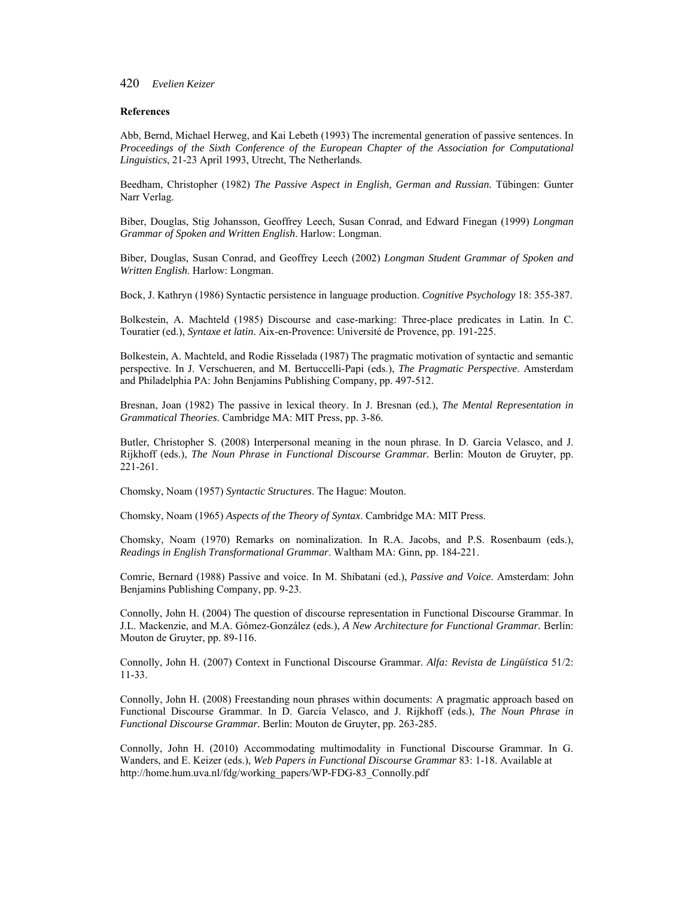#### **References**

Abb, Bernd, Michael Herweg, and Kai Lebeth (1993) The incremental generation of passive sentences. In *Proceedings of the Sixth Conference of the European Chapter of the Association for Computational Linguistics*, 21-23 April 1993, Utrecht, The Netherlands.

Beedham, Christopher (1982) *The Passive Aspect in English, German and Russian.* Tübingen: Gunter Narr Verlag.

Biber, Douglas, Stig Johansson, Geoffrey Leech, Susan Conrad, and Edward Finegan (1999) *Longman Grammar of Spoken and Written English*. Harlow: Longman.

Biber, Douglas, Susan Conrad, and Geoffrey Leech (2002) *Longman Student Grammar of Spoken and Written English*. Harlow: Longman.

Bock, J. Kathryn (1986) Syntactic persistence in language production. *Cognitive Psychology* 18: 355-387.

Bolkestein, A. Machteld (1985) Discourse and case-marking: Three-place predicates in Latin. In C. Touratier (ed.), *Syntaxe et latin*. Aix-en-Provence: Université de Provence, pp. 191-225.

Bolkestein, A. Machteld, and Rodie Risselada (1987) The pragmatic motivation of syntactic and semantic perspective. In J. Verschueren, and M. Bertuccelli-Papi (eds.), *The Pragmatic Perspective*. Amsterdam and Philadelphia PA: John Benjamins Publishing Company, pp. 497-512.

Bresnan, Joan (1982) The passive in lexical theory. In J. Bresnan (ed.), *The Mental Representation in Grammatical Theories*. Cambridge MA: MIT Press, pp. 3-86.

Butler, Christopher S. (2008) Interpersonal meaning in the noun phrase. In D. García Velasco, and J. Rijkhoff (eds.), *The Noun Phrase in Functional Discourse Grammar.* Berlin: Mouton de Gruyter, pp. 221-261.

Chomsky, Noam (1957) *Syntactic Structures*. The Hague: Mouton.

Chomsky, Noam (1965) *Aspects of the Theory of Syntax*. Cambridge MA: MIT Press.

Chomsky, Noam (1970) Remarks on nominalization. In R.A. Jacobs, and P.S. Rosenbaum (eds.), *Readings in English Transformational Grammar*. Waltham MA: Ginn, pp. 184-221.

Comrie, Bernard (1988) Passive and voice. In M. Shibatani (ed.), *Passive and Voice*. Amsterdam: John Benjamins Publishing Company, pp. 9-23.

Connolly, John H. (2004) The question of discourse representation in Functional Discourse Grammar. In J.L. Mackenzie, and M.A. Gómez-González (eds.), *A New Architecture for Functional Grammar.* Berlin: Mouton de Gruyter, pp. 89-116.

Connolly, John H. (2007) Context in Functional Discourse Grammar. *Alfa: Revista de Lingüística* 51/2: 11-33.

Connolly, John H. (2008) Freestanding noun phrases within documents: A pragmatic approach based on Functional Discourse Grammar. In D. García Velasco, and J. Rijkhoff (eds.), *The Noun Phrase in Functional Discourse Grammar.* Berlin: Mouton de Gruyter, pp. 263-285.

Connolly, John H. (2010) Accommodating multimodality in Functional Discourse Grammar. In G. Wanders, and E. Keizer (eds.), *Web Papers in Functional Discourse Grammar* 83: 1-18. Available at http://home.hum.uva.nl/fdg/working\_papers/WP-FDG-83\_Connolly.pdf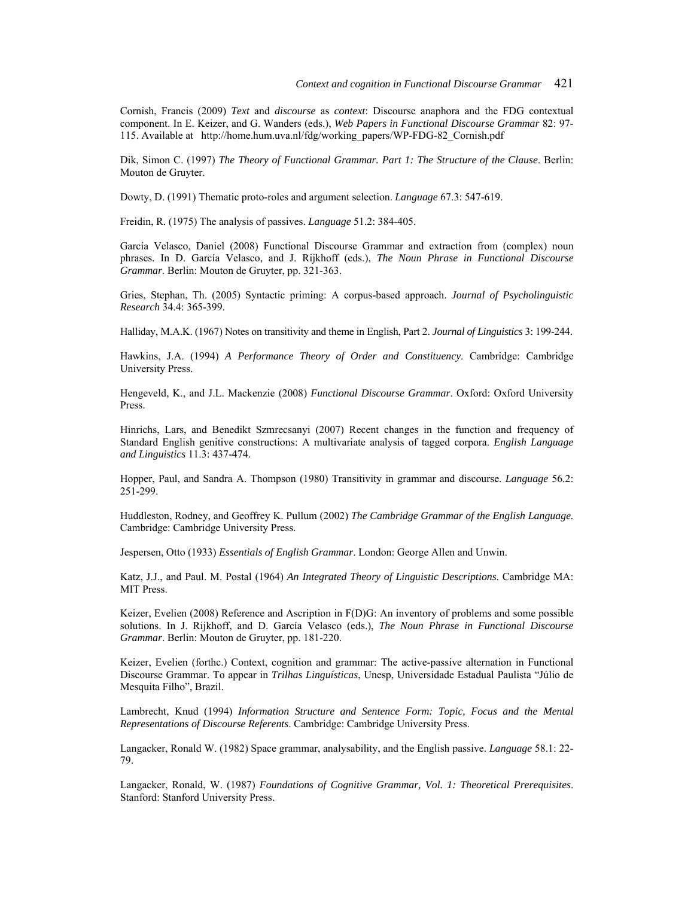Cornish, Francis (2009) *Text* and *discourse* as *context*: Discourse anaphora and the FDG contextual component. In E. Keizer, and G. Wanders (eds.), *Web Papers in Functional Discourse Grammar* 82: 97- 115. Available at http://home.hum.uva.nl/fdg/working\_papers/WP-FDG-82\_Cornish.pdf

Dik, Simon C. (1997) *The Theory of Functional Grammar. Part 1: The Structure of the Clause*. Berlin: Mouton de Gruyter.

Dowty, D. (1991) Thematic proto-roles and argument selection. *Language* 67.3: 547-619.

Freidin, R. (1975) The analysis of passives. *Language* 51.2: 384-405.

García Velasco, Daniel (2008) Functional Discourse Grammar and extraction from (complex) noun phrases. In D. García Velasco, and J. Rijkhoff (eds.), *The Noun Phrase in Functional Discourse Grammar.* Berlin: Mouton de Gruyter, pp. 321-363.

Gries, Stephan, Th. (2005) Syntactic priming: A corpus-based approach. *Journal of Psycholinguistic Research* 34.4: 365-399.

Halliday, M.A.K. (1967) Notes on transitivity and theme in English, Part 2. *Journal of Linguistics* 3: 199-244.

Hawkins, J.A. (1994) *A Performance Theory of Order and Constituency*. Cambridge: Cambridge University Press.

Hengeveld, K., and J.L. Mackenzie (2008) *Functional Discourse Grammar*. Oxford: Oxford University Press.

Hinrichs, Lars, and Benedikt Szmrecsanyi (2007) Recent changes in the function and frequency of Standard English genitive constructions: A multivariate analysis of tagged corpora. *English Language and Linguistics* 11.3: 437-474.

Hopper, Paul, and Sandra A. Thompson (1980) Transitivity in grammar and discourse. *Language* 56.2: 251-299.

Huddleston, Rodney, and Geoffrey K. Pullum (2002) *The Cambridge Grammar of the English Language.* Cambridge: Cambridge University Press.

Jespersen, Otto (1933) *Essentials of English Grammar*. London: George Allen and Unwin.

Katz, J.J., and Paul. M. Postal (1964) *An Integrated Theory of Linguistic Descriptions*. Cambridge MA: MIT Press.

Keizer, Evelien (2008) Reference and Ascription in F(D)G: An inventory of problems and some possible solutions. In J. Rijkhoff, and D. García Velasco (eds.), *The Noun Phrase in Functional Discourse Grammar*. Berlin: Mouton de Gruyter, pp. 181-220.

Keizer, Evelien (forthc.) Context, cognition and grammar: The active-passive alternation in Functional Discourse Grammar. To appear in *Trilhas Linguísticas*, Unesp, Universidade Estadual Paulista "Júlio de Mesquita Filho", Brazil.

Lambrecht, Knud (1994) *Information Structure and Sentence Form: Topic, Focus and the Mental Representations of Discourse Referents*. Cambridge: Cambridge University Press.

Langacker, Ronald W. (1982) Space grammar, analysability, and the English passive. *Language* 58.1: 22- 79.

Langacker, Ronald, W. (1987) *Foundations of Cognitive Grammar, Vol. 1: Theoretical Prerequisites*. Stanford: Stanford University Press.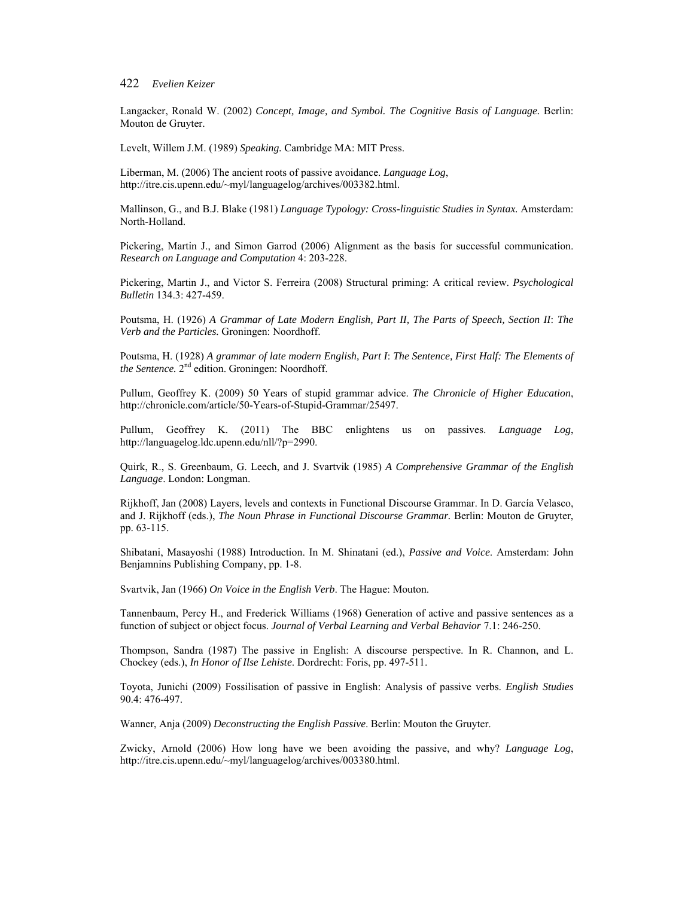Langacker, Ronald W. (2002) *Concept, Image, and Symbol. The Cognitive Basis of Language.* Berlin: Mouton de Gruyter.

Levelt, Willem J.M. (1989) *Speaking.* Cambridge MA: MIT Press.

Liberman, M. (2006) The ancient roots of passive avoidance. *Language Log*, http://itre.cis.upenn.edu/~myl/languagelog/archives/003382.html.

Mallinson, G., and B.J. Blake (1981) *Language Typology: Cross-linguistic Studies in Syntax.* Amsterdam: North-Holland.

Pickering, Martin J., and Simon Garrod (2006) Alignment as the basis for successful communication. *Research on Language and Computation* 4: 203-228.

Pickering, Martin J., and Victor S. Ferreira (2008) Structural priming: A critical review. *Psychological Bulletin* 134.3: 427-459.

Poutsma, H. (1926) *A Grammar of Late Modern English, Part II, The Parts of Speech, Section II*: *The Verb and the Particles.* Groningen: Noordhoff.

Poutsma, H. (1928) *A grammar of late modern English, Part I*: *The Sentence, First Half: The Elements of the Sentence.* 2<sup>nd</sup> edition. Groningen: Noordhoff.

Pullum, Geoffrey K. (2009) 50 Years of stupid grammar advice. *The Chronicle of Higher Education*, http://chronicle.com/article/50-Years-of-Stupid-Grammar/25497.

Pullum, Geoffrey K. (2011) The BBC enlightens us on passives. *Language Log*, http://languagelog.ldc.upenn.edu/nll/?p=2990.

Quirk, R., S. Greenbaum, G. Leech, and J. Svartvik (1985) *A Comprehensive Grammar of the English Language*. London: Longman.

Rijkhoff, Jan (2008) Layers, levels and contexts in Functional Discourse Grammar. In D. García Velasco, and J. Rijkhoff (eds.), *The Noun Phrase in Functional Discourse Grammar.* Berlin: Mouton de Gruyter, pp. 63-115.

Shibatani, Masayoshi (1988) Introduction. In M. Shinatani (ed.), *Passive and Voice*. Amsterdam: John Benjamnins Publishing Company, pp. 1-8.

Svartvik, Jan (1966) *On Voice in the English Verb*. The Hague: Mouton.

Tannenbaum, Percy H., and Frederick Williams (1968) Generation of active and passive sentences as a function of subject or object focus. *Journal of Verbal Learning and Verbal Behavior* 7.1: 246-250.

Thompson, Sandra (1987) The passive in English: A discourse perspective. In R. Channon, and L. Chockey (eds.), *In Honor of Ilse Lehiste*. Dordrecht: Foris, pp. 497-511.

Toyota, Junichi (2009) Fossilisation of passive in English: Analysis of passive verbs. *English Studies* 90.4: 476-497.

Wanner, Anja (2009) *Deconstructing the English Passive*. Berlin: Mouton the Gruyter.

Zwicky, Arnold (2006) How long have we been avoiding the passive, and why? *Language Log*, http://itre.cis.upenn.edu/~myl/languagelog/archives/003380.html.